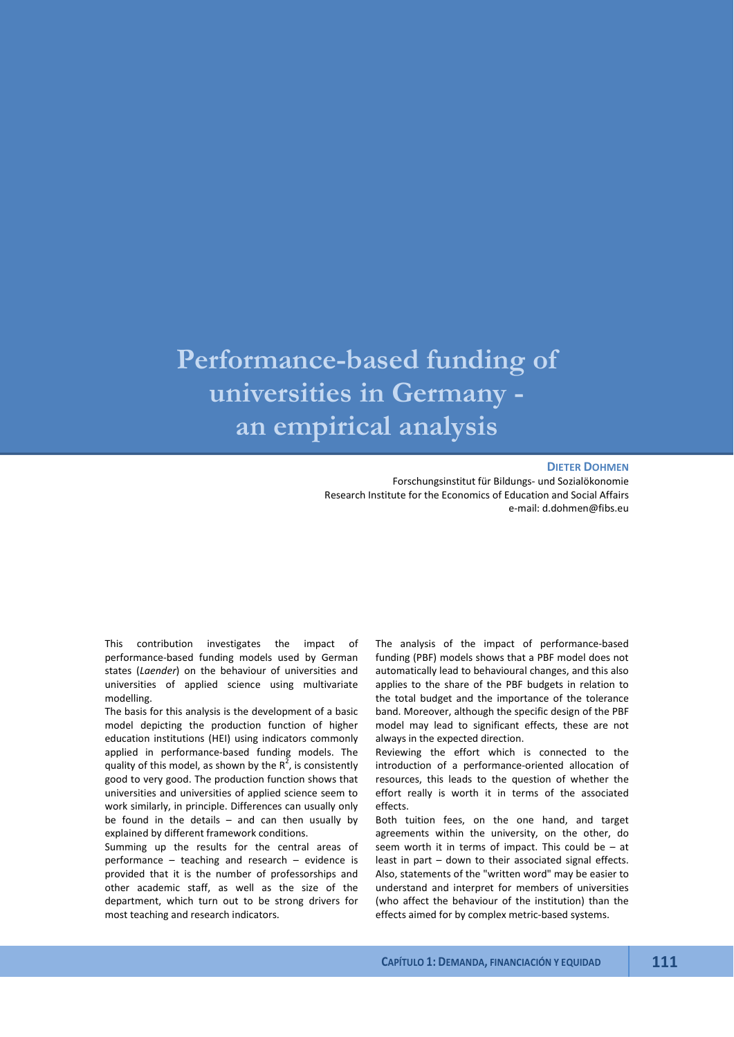# **Performance-based funding of universities in Germany an empirical analysis**

#### **DIETER DOHMEN**

Forschungsinstitut für Bildungs- und Sozialökonomie Research Institute for the Economics of Education and Social Affairs e-mail: d.dohmen@fibs.eu

This contribution investigates the impact of performance-based funding models used by German states (*Laender*) on the behaviour of universities and universities of applied science using multivariate modelling.

The basis for this analysis is the development of a basic model depicting the production function of higher education institutions (HEI) using indicators commonly applied in performance-based funding models. The quality of this model, as shown by the  $R^2$ , is consistently good to very good. The production function shows that universities and universities of applied science seem to work similarly, in principle. Differences can usually only be found in the details  $-$  and can then usually by explained by different framework conditions.

Summing up the results for the central areas of performance – teaching and research – evidence is provided that it is the number of professorships and other academic staff, as well as the size of the department, which turn out to be strong drivers for most teaching and research indicators.

The analysis of the impact of performance-based funding (PBF) models shows that a PBF model does not automatically lead to behavioural changes, and this also applies to the share of the PBF budgets in relation to the total budget and the importance of the tolerance band. Moreover, although the specific design of the PBF model may lead to significant effects, these are not always in the expected direction.

Reviewing the effort which is connected to the introduction of a performance-oriented allocation of resources, this leads to the question of whether the effort really is worth it in terms of the associated effects.

Both tuition fees, on the one hand, and target agreements within the university, on the other, do seem worth it in terms of impact. This could be – at least in part – down to their associated signal effects. Also, statements of the "written word" may be easier to understand and interpret for members of universities (who affect the behaviour of the institution) than the effects aimed for by complex metric-based systems.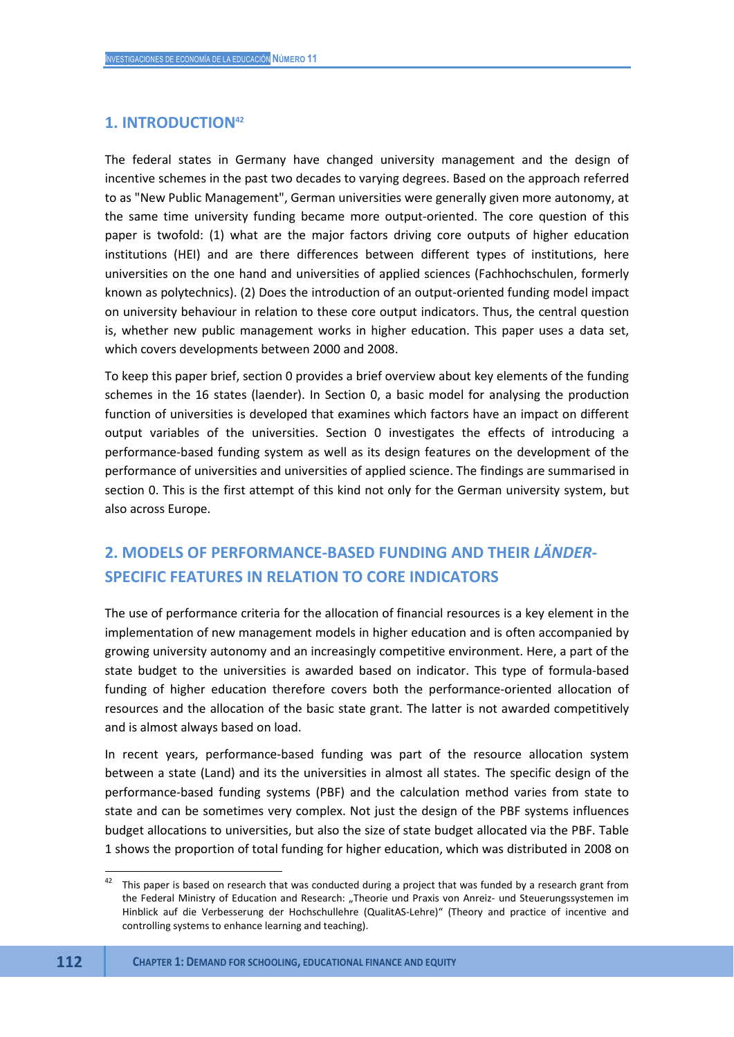# **1. INTRODUCTION<sup>42</sup>**

The federal states in Germany have changed university management and the design of incentive schemes in the past two decades to varying degrees. Based on the approach referred to as "New Public Management", German universities were generally given more autonomy, at the same time university funding became more output-oriented. The core question of this paper is twofold: (1) what are the major factors driving core outputs of higher education institutions (HEI) and are there differences between different types of institutions, here universities on the one hand and universities of applied sciences (Fachhochschulen, formerly known as polytechnics). (2) Does the introduction of an output-oriented funding model impact on university behaviour in relation to these core output indicators. Thus, the central question is, whether new public management works in higher education. This paper uses a data set, which covers developments between 2000 and 2008.

To keep this paper brief, section 0 provides a brief overview about key elements of the funding schemes in the 16 states (laender). In Section 0, a basic model for analysing the production function of universities is developed that examines which factors have an impact on different output variables of the universities. Section 0 investigates the effects of introducing a performance-based funding system as well as its design features on the development of the performance of universities and universities of applied science. The findings are summarised in section 0. This is the first attempt of this kind not only for the German university system, but also across Europe.

# **2. MODELS OF PERFORMANCE-BASED FUNDING AND THEIR** *LÄNDER***-SPECIFIC FEATURES IN RELATION TO CORE INDICATORS**

The use of performance criteria for the allocation of financial resources is a key element in the implementation of new management models in higher education and is often accompanied by growing university autonomy and an increasingly competitive environment. Here, a part of the state budget to the universities is awarded based on indicator. This type of formula-based funding of higher education therefore covers both the performance-oriented allocation of resources and the allocation of the basic state grant. The latter is not awarded competitively and is almost always based on load.

In recent years, performance-based funding was part of the resource allocation system between a state (Land) and its the universities in almost all states. The specific design of the performance-based funding systems (PBF) and the calculation method varies from state to state and can be sometimes very complex. Not just the design of the PBF systems influences budget allocations to universities, but also the size of state budget allocated via the PBF. Table 1 shows the proportion of total funding for higher education, which was distributed in 2008 on

 **112 CHAPTER 1: DEMAND FOR SCHOOLING, EDUCATIONAL FINANCE AND EQUITY**

1

This paper is based on research that was conducted during a project that was funded by a research grant from the Federal Ministry of Education and Research: "Theorie und Praxis von Anreiz- und Steuerungssystemen im Hinblick auf die Verbesserung der Hochschullehre (QualitAS-Lehre)" (Theory and practice of incentive and controlling systems to enhance learning and teaching).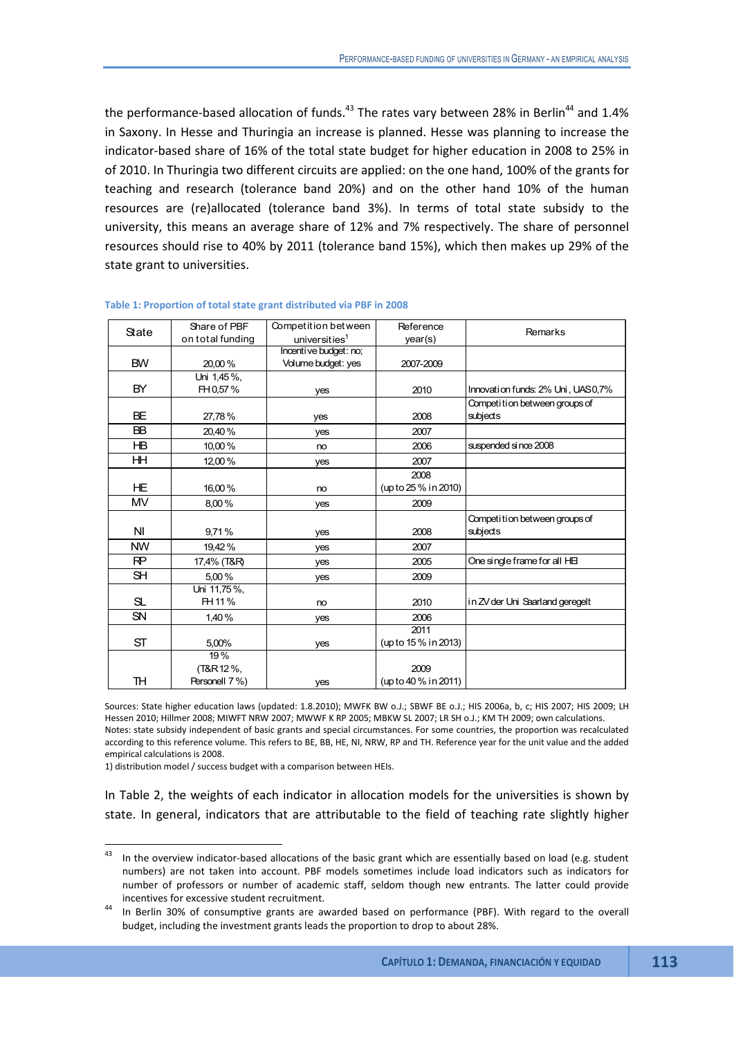the performance-based allocation of funds.<sup>43</sup> The rates vary between 28% in Berlin<sup>44</sup> and 1.4% in Saxony. In Hesse and Thuringia an increase is planned. Hesse was planning to increase the indicator-based share of 16% of the total state budget for higher education in 2008 to 25% in of 2010. In Thuringia two different circuits are applied: on the one hand, 100% of the grants for teaching and research (tolerance band 20%) and on the other hand 10% of the human resources are (re)allocated (tolerance band 3%). In terms of total state subsidy to the university, this means an average share of 12% and 7% respectively. The share of personnel resources should rise to 40% by 2011 (tolerance band 15%), which then makes up 29% of the state grant to universities.

|                | Share of PBF     | Competition between   | Reference            |                                   |
|----------------|------------------|-----------------------|----------------------|-----------------------------------|
| State          | on total funding | universities $1$      | year(s)              | Remarks                           |
|                |                  | Incentive budget: no; |                      |                                   |
| <b>BW</b>      | 20,00%           | Volume budget: yes    | 2007-2009            |                                   |
|                | Uni 1,45%,       |                       |                      |                                   |
| <b>BY</b>      | FH 0,57%         | yes                   | 2010                 | Innovation funds: 2% Uni, UAS0,7% |
|                |                  |                       |                      | Competition between groups of     |
| <b>BE</b>      | 27,78%           | yes                   | 2008                 | subjects                          |
| <b>BB</b>      | 20,40%           | yes                   | 2007                 |                                   |
| ΗB             | 10,00%           | no                    | 2006                 | suspended since 2008              |
| HН             | 12,00%           | yes                   | 2007                 |                                   |
|                |                  |                       | 2008                 |                                   |
| HE             | 16,00%           | no                    | (up to 25 % in 2010) |                                   |
| <b>MV</b>      | 8,00%            | yes                   | 2009                 |                                   |
|                |                  |                       |                      | Competition between groups of     |
| NI             | 9,71%            | yes                   | 2008                 | subjects                          |
| <b>NW</b>      | 19.42%           | yes                   | 2007                 |                                   |
| R <sup>P</sup> | 17,4% (T&R)      | yes                   | 2005                 | One single frame for all HE       |
| <b>SH</b>      | 5,00%            | yes                   | 2009                 |                                   |
|                | Uni 11,75%,      |                       |                      |                                   |
| SL             | FH 11 %          | no                    | 2010                 | in ZV der Uni Saarland geregelt   |
| <b>SN</b>      | 1,40%            | yes                   | 2006                 |                                   |
|                |                  |                       | 2011                 |                                   |
| ST             | 5,00%            | yes                   | (up to 15 % in 2013) |                                   |
|                | 19%              |                       |                      |                                   |
|                | (T&R 12 %,       |                       | 2009                 |                                   |
| <b>TH</b>      | Personell 7%)    | yes                   | (up to 40 % in 2011) |                                   |

#### **Table 1: Proportion of total state grant distributed via PBF in 2008**

Sources: State higher education laws (updated: 1.8.2010); MWFK BW o.J.; SBWF BE o.J.; HIS 2006a, b, c; HIS 2007; HIS 2009; LH Hessen 2010; Hillmer 2008; MIWFT NRW 2007; MWWF K RP 2005; MBKW SL 2007; LR SH o.J.; KM TH 2009; own calculations. Notes: state subsidy independent of basic grants and special circumstances. For some countries, the proportion was recalculated according to this reference volume. This refers to BE, BB, HE, NI, NRW, RP and TH. Reference year for the unit value and the added empirical calculations is 2008.

1) distribution model / success budget with a comparison between HEIs.

**.** 

In Table 2, the weights of each indicator in allocation models for the universities is shown by state. In general, indicators that are attributable to the field of teaching rate slightly higher

 $43$  In the overview indicator-based allocations of the basic grant which are essentially based on load (e.g. student numbers) are not taken into account. PBF models sometimes include load indicators such as indicators for number of professors or number of academic staff, seldom though new entrants. The latter could provide incentives for excessive student recruitment.<br>14 In Berlin 30% of consumptive grants are awarded based on performance (PBF). With regard to the overall

budget, including the investment grants leads the proportion to drop to about 28%.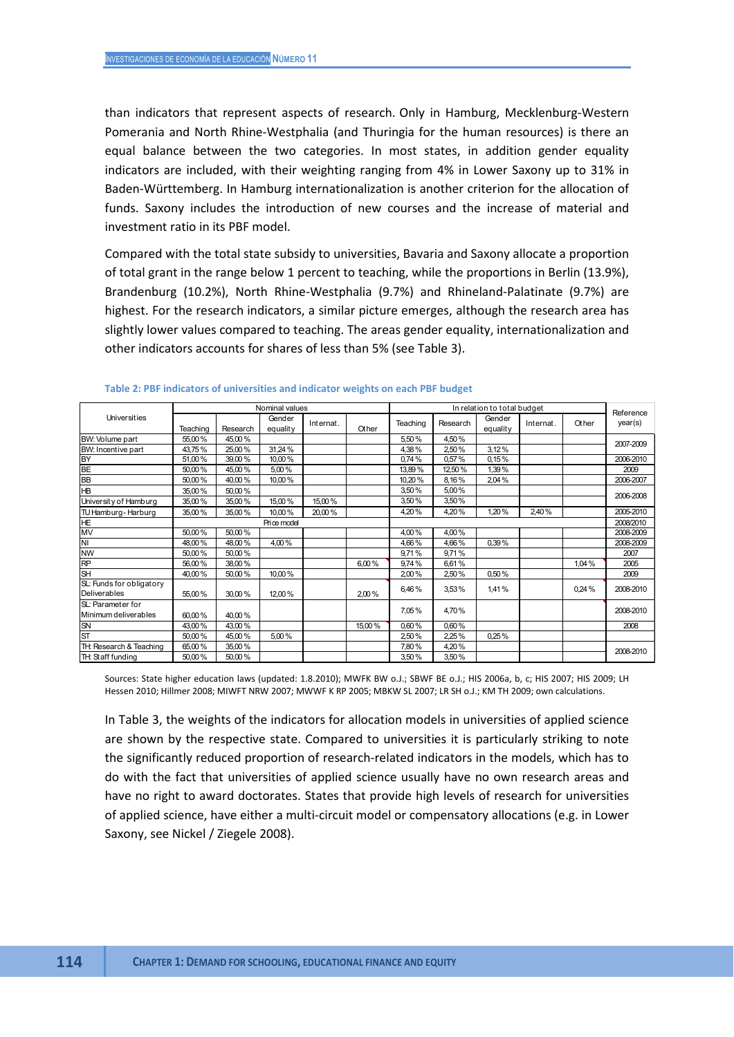than indicators that represent aspects of research. Only in Hamburg, Mecklenburg-Western Pomerania and North Rhine-Westphalia (and Thuringia for the human resources) is there an equal balance between the two categories. In most states, in addition gender equality indicators are included, with their weighting ranging from 4% in Lower Saxony up to 31% in Baden-Württemberg. In Hamburg internationalization is another criterion for the allocation of funds. Saxony includes the introduction of new courses and the increase of material and investment ratio in its PBF model.

Compared with the total state subsidy to universities, Bavaria and Saxony allocate a proportion of total grant in the range below 1 percent to teaching, while the proportions in Berlin (13.9%), Brandenburg (10.2%), North Rhine-Westphalia (9.7%) and Rhineland-Palatinate (9.7%) are highest. For the research indicators, a similar picture emerges, although the research area has slightly lower values compared to teaching. The areas gender equality, internationalization and other indicators accounts for shares of less than 5% (see Table 3).

|                                                 |          |          | Nominal values     |           |        |          |          | In relation to total budget |           |       | Reference |
|-------------------------------------------------|----------|----------|--------------------|-----------|--------|----------|----------|-----------------------------|-----------|-------|-----------|
| Universities                                    | Teaching | Research | Gender<br>equality | Internat. | Other  | Teaching | Research | Gender<br>equality          | Internat. | Other | year(s)   |
| BW: Volume part                                 | 55,00 %  | 45,00%   |                    |           |        | 5,50%    | 4,50%    |                             |           |       |           |
| BW: Incentive part                              | 43,75%   | 25,00%   | 31,24 %            |           |        | 4,38%    | 2,50%    | 3,12%                       |           |       | 2007-2009 |
| <b>BY</b>                                       | 51,00%   | 39,00%   | 10,00%             |           |        | 0,74%    | 0,57%    | 0,15%                       |           |       | 2006-2010 |
| BE                                              | 50,00%   | 45,00%   | 5,00%              |           |        | 13,89%   | 12,50%   | 1,39%                       |           |       | 2009      |
| BB                                              | 50,00%   | 40,00%   | 10.00%             |           |        | 10,20%   | 8,16%    | 2.04%                       |           |       | 2006-2007 |
| HB                                              | 35,00 %  | 50,00%   |                    |           |        | 3,50%    | 5,00%    |                             |           |       | 2006-2008 |
| University of Hamburg                           | 35,00 %  | 35,00%   | 15,00%             | 15,00%    |        | 3,50%    | 3,50%    |                             |           |       |           |
| TU Hamburg-Harburg                              | 35,00 %  | 35,00%   | 10,00%             | 20,00%    |        | 4,20%    | 4,20%    | 1,20%                       | 2,40%     |       | 2005-2010 |
| HE                                              |          |          | Price model        |           |        |          |          |                             |           |       | 2008/2010 |
| MV                                              | 50,00%   | 50,00%   |                    |           |        | 4,00%    | 4,00%    |                             |           |       | 2008-2009 |
| N <sub>l</sub>                                  | 48,00%   | 48,00%   | 4,00%              |           |        | 4,66%    | 4,66%    | 0,39%                       |           |       | 2008-2009 |
| <b>NW</b>                                       | 50,00%   | 50,00%   |                    |           |        | 9,71%    | 9,71%    |                             |           |       | 2007      |
| <b>RP</b>                                       | 56,00%   | 38,00%   |                    |           | 6.00%  | 9,74%    | 6,61%    |                             |           | 1.04% | 2005      |
| <b>SH</b>                                       | 40,00%   | 50.00%   | 10,00%             |           |        | 2,00%    | 2,50%    | 0.50%                       |           |       | 2009      |
| SL: Funds for obligatory<br><b>Deliverables</b> | 55,00 %  | 30,00%   | 12,00%             |           | 2,00%  | 6,46%    | 3,53%    | 1,41%                       |           | 0.24% | 2008-2010 |
| SL: Parameter for<br>Minimum deliverables       | 60,00%   | 40,00%   |                    |           |        | 7,05%    | 4,70%    |                             |           |       | 2008-2010 |
| SN                                              | 43,00%   | 43,00%   |                    |           | 15,00% | 0,60%    | 0,60%    |                             |           |       | 2008      |
| <b>ST</b>                                       | 50,00%   | 45,00%   | 5,00%              |           |        | 2,50%    | 2,25%    | 0.25%                       |           |       |           |
| TH: Research & Teaching                         | 65,00%   | 35,00%   |                    |           |        | 7,80%    | 4,20%    |                             |           |       | 2008-2010 |
| TH: Staff funding                               | 50,00%   | 50,00%   |                    |           |        | 3,50%    | 3,50%    |                             |           |       |           |

**Table 2: PBF indicators of universities and indicator weights on each PBF budget** 

Sources: State higher education laws (updated: 1.8.2010); MWFK BW o.J.; SBWF BE o.J.; HIS 2006a, b, c; HIS 2007; HIS 2009; LH Hessen 2010; Hillmer 2008; MIWFT NRW 2007; MWWF K RP 2005; MBKW SL 2007; LR SH o.J.; KM TH 2009; own calculations.

In Table 3, the weights of the indicators for allocation models in universities of applied science are shown by the respective state. Compared to universities it is particularly striking to note the significantly reduced proportion of research-related indicators in the models, which has to do with the fact that universities of applied science usually have no own research areas and have no right to award doctorates. States that provide high levels of research for universities of applied science, have either a multi-circuit model or compensatory allocations (e.g. in Lower Saxony, see Nickel / Ziegele 2008).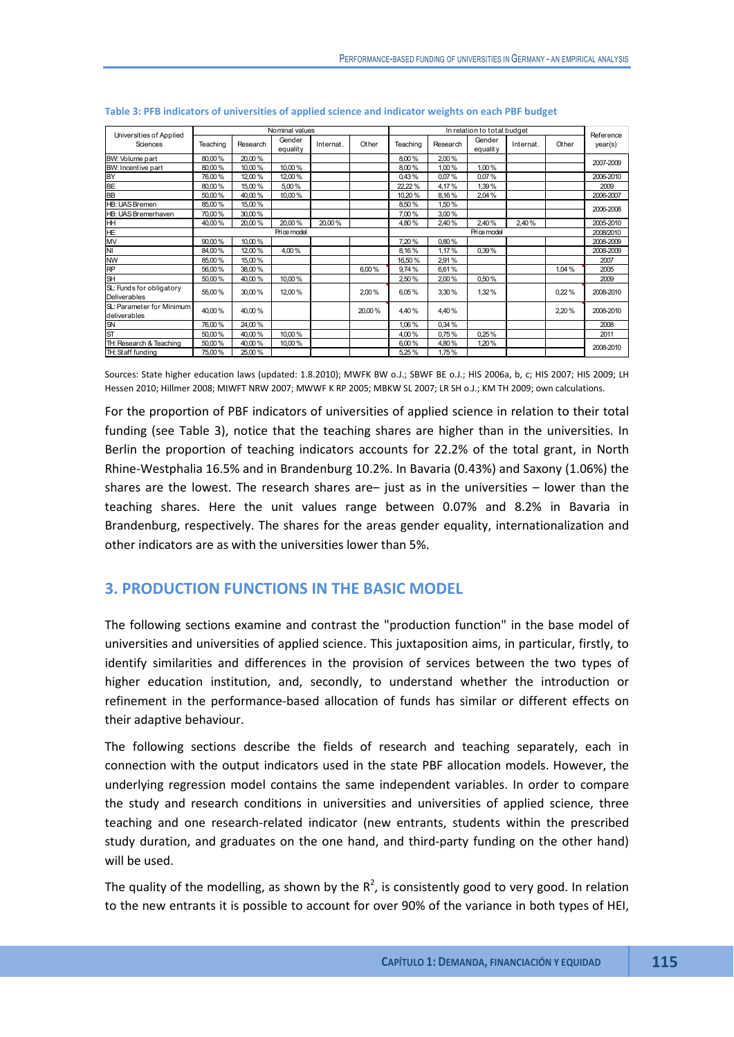| Universities of Applied   |          |          | Nominal values     |          |        |          |           | In relation to total budget |           |       | Reference |
|---------------------------|----------|----------|--------------------|----------|--------|----------|-----------|-----------------------------|-----------|-------|-----------|
| Sciences                  | Teaching | Research | Gender<br>equality | Internat | Other  | Teaching | Research  | Gender<br>equality          | Internat. | Other | year(s)   |
| BW: Volume part           | 80.00%   | 20.00%   |                    |          |        | 8.00%    | 2,00%     |                             |           |       | 2007-2009 |
| BW: Incentive part        | 80.00%   | 10,00%   | 10,00%             |          |        | 8.00%    | 1,00%     | 1,00%                       |           |       |           |
| <b>BY</b>                 | 76,00%   | 12,00%   | 12,00%             |          |        | 0,43%    | 0,07%     | 0,07%                       |           |       | 2006-2010 |
| <b>BE</b>                 | 80.00%   | 15,00%   | 5,00%              |          |        | 22,22 %  | 4,17%     | 1,39%                       |           |       | 2009      |
| <b>BB</b>                 | 50,00%   | 40,00%   | 10,00%             |          |        | 10,20%   | 8,16%     | 2,04%                       |           |       | 2006-2007 |
| <b>HB: UAS Bremen</b>     | 85.00%   | 15.00%   |                    |          |        | 8.50%    | 1.50%     |                             |           |       | 2006-2008 |
| HB: UAS Bremerhaven       | 70.00%   | 30,00%   |                    |          |        | 7.00%    | 3,00%     |                             |           |       |           |
| HH                        | 40.00%   | 20.00%   | 20.00%             | 20.00%   |        | 4.80%    | 2,40%     | 2.40%                       | 2.40%     |       | 2005-2010 |
| <b>HE</b>                 |          |          | Price model        |          |        |          | 2008/2010 |                             |           |       |           |
| MV                        | 90.00%   | 10.00%   |                    |          |        | 7.20%    | 0,80%     |                             |           |       | 2008-2009 |
| NI                        | 84.00%   | 12,00%   | 4.00%              |          |        | 8.16%    | 1,17%     | 0.39%                       |           |       | 2008-2009 |
| <b>NW</b>                 | 85,00%   | 15,00 %  |                    |          |        | 16.50%   | 2,91%     |                             |           |       | 2007      |
| <b>RP</b>                 | 56.00%   | 38,00%   |                    |          | 6.00%  | 9.74%    | 6,61%     |                             |           | 1.04% | 2005      |
| <b>SH</b>                 | 50.00%   | 40.00%   | 10.00%             |          |        | 2,50%    | 2,00%     | 0.50%                       |           |       | 2009      |
| SL: Funds for obligatory  | 55.00%   | 30.00%   | 12.00%             |          | 2.00%  | 6.05%    | 3.30%     | 1,32%                       |           | 0.22% | 2008-2010 |
| Deliverables              |          |          |                    |          |        |          |           |                             |           |       |           |
| SL: Parameter for Minimum | 40.00%   | 40.00%   |                    |          | 20.00% | 4.40%    |           |                             |           |       | 2008-2010 |
| deliverables              |          |          |                    |          |        |          | 4,40%     |                             |           | 2,20% |           |
| <b>SN</b>                 | 76.00%   | 24.00%   |                    |          |        | 1.06%    | 0.34%     |                             |           |       | 2008      |
| <b>ST</b>                 | 50,00%   | 40,00%   | 10,00%             |          |        | 4,00%    | 0,75%     | 0.25%                       |           |       | 2011      |
| TH: Research & Teaching   | 50,00%   | 40,00%   | 10,00%             |          |        | 6,00%    | 4,80%     | 1,20%                       |           |       | 2008-2010 |
| TH: Staff funding         | 75,00%   | 25,00%   |                    |          |        | 5,25%    | 1,75%     |                             |           |       |           |

| Table 3: PFB indicators of universities of applied science and indicator weights on each PBF budget |  |  |  |  |  |
|-----------------------------------------------------------------------------------------------------|--|--|--|--|--|
|-----------------------------------------------------------------------------------------------------|--|--|--|--|--|

Sources: State higher education laws (updated: 1.8.2010); MWFK BW o.J.; SBWF BE o.J.; HIS 2006a, b, c; HIS 2007; HIS 2009; LH Hessen 2010; Hillmer 2008; MIWFT NRW 2007; MWWF K RP 2005; MBKW SL 2007; LR SH o.J.; KM TH 2009; own calculations.

For the proportion of PBF indicators of universities of applied science in relation to their total funding (see Table 3), notice that the teaching shares are higher than in the universities. In Berlin the proportion of teaching indicators accounts for 22.2% of the total grant, in North Rhine-Westphalia 16.5% and in Brandenburg 10.2%. In Bavaria (0.43%) and Saxony (1.06%) the shares are the lowest. The research shares are– just as in the universities – lower than the teaching shares. Here the unit values range between 0.07% and 8.2% in Bavaria in Brandenburg, respectively. The shares for the areas gender equality, internationalization and other indicators are as with the universities lower than 5%.

# **3. PRODUCTION FUNCTIONS IN THE BASIC MODEL**

The following sections examine and contrast the "production function" in the base model of universities and universities of applied science. This juxtaposition aims, in particular, firstly, to identify similarities and differences in the provision of services between the two types of higher education institution, and, secondly, to understand whether the introduction or refinement in the performance-based allocation of funds has similar or different effects on their adaptive behaviour.

The following sections describe the fields of research and teaching separately, each in connection with the output indicators used in the state PBF allocation models. However, the underlying regression model contains the same independent variables. In order to compare the study and research conditions in universities and universities of applied science, three teaching and one research-related indicator (new entrants, students within the prescribed study duration, and graduates on the one hand, and third-party funding on the other hand) will be used.

The quality of the modelling, as shown by the  $R^2$ , is consistently good to very good. In relation to the new entrants it is possible to account for over 90% of the variance in both types of HEI,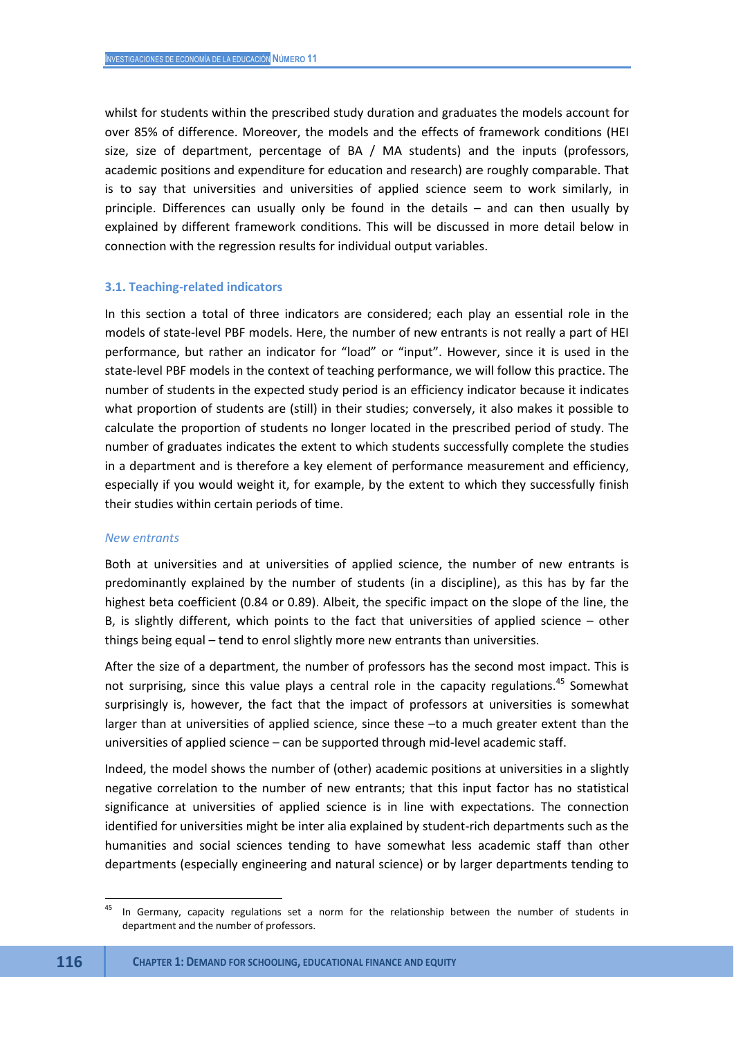whilst for students within the prescribed study duration and graduates the models account for over 85% of difference. Moreover, the models and the effects of framework conditions (HEI size, size of department, percentage of BA / MA students) and the inputs (professors, academic positions and expenditure for education and research) are roughly comparable. That is to say that universities and universities of applied science seem to work similarly, in principle. Differences can usually only be found in the details – and can then usually by explained by different framework conditions. This will be discussed in more detail below in connection with the regression results for individual output variables.

#### **3.1. Teaching-related indicators**

In this section a total of three indicators are considered; each play an essential role in the models of state-level PBF models. Here, the number of new entrants is not really a part of HEI performance, but rather an indicator for "load" or "input". However, since it is used in the state-level PBF models in the context of teaching performance, we will follow this practice. The number of students in the expected study period is an efficiency indicator because it indicates what proportion of students are (still) in their studies; conversely, it also makes it possible to calculate the proportion of students no longer located in the prescribed period of study. The number of graduates indicates the extent to which students successfully complete the studies in a department and is therefore a key element of performance measurement and efficiency, especially if you would weight it, for example, by the extent to which they successfully finish their studies within certain periods of time.

#### *New entrants*

Both at universities and at universities of applied science, the number of new entrants is predominantly explained by the number of students (in a discipline), as this has by far the highest beta coefficient (0.84 or 0.89). Albeit, the specific impact on the slope of the line, the B, is slightly different, which points to the fact that universities of applied science – other things being equal – tend to enrol slightly more new entrants than universities.

After the size of a department, the number of professors has the second most impact. This is not surprising, since this value plays a central role in the capacity regulations.<sup>45</sup> Somewhat surprisingly is, however, the fact that the impact of professors at universities is somewhat larger than at universities of applied science, since these –to a much greater extent than the universities of applied science – can be supported through mid-level academic staff.

Indeed, the model shows the number of (other) academic positions at universities in a slightly negative correlation to the number of new entrants; that this input factor has no statistical significance at universities of applied science is in line with expectations. The connection identified for universities might be inter alia explained by student-rich departments such as the humanities and social sciences tending to have somewhat less academic staff than other departments (especially engineering and natural science) or by larger departments tending to

**.** 

In Germany, capacity regulations set a norm for the relationship between the number of students in department and the number of professors.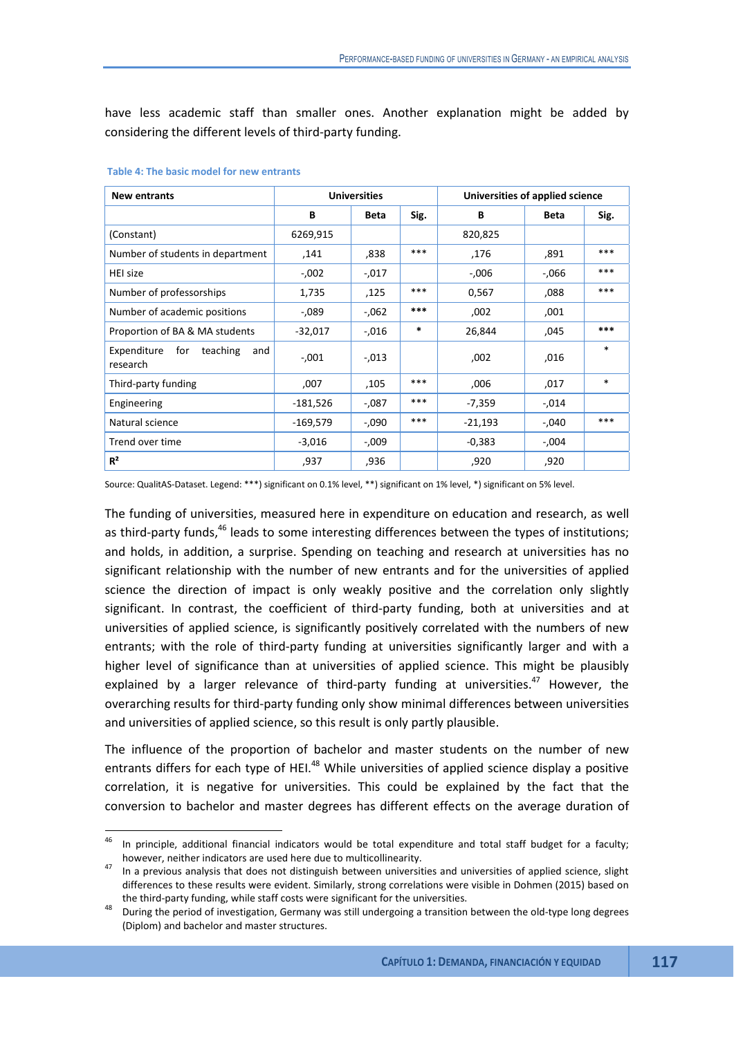have less academic staff than smaller ones. Another explanation might be added by considering the different levels of third-party funding.

| <b>New entrants</b>                               |            | <b>Universities</b> |        | Universities of applied science |          |        |
|---------------------------------------------------|------------|---------------------|--------|---------------------------------|----------|--------|
|                                                   | В          | Beta                | Sig.   | В                               | Beta     | Sig.   |
| (Constant)                                        | 6269,915   |                     |        | 820,825                         |          |        |
| Number of students in department                  | .141       | ,838                | ***    | 176,                            | ,891     | ***    |
| HEI size                                          | $-0.002$   | $-0.017$            |        | $-0.006$                        | $-0.066$ | ***    |
| Number of professorships                          | 1,735      | ,125                | ***    | 0,567                           | ,088     | ***    |
| Number of academic positions                      | $-0.089$   | $-0.062$            | ***    | ,002                            | ,001     |        |
| Proportion of BA & MA students                    | $-32,017$  | $-0.016$            | $\ast$ | 26,844                          | ,045     | ***    |
| Expenditure<br>for<br>teaching<br>and<br>research | $-.001$    | $-0.013$            |        | ,002                            | ,016     | $\ast$ |
| Third-party funding                               | ,007       | ,105                | ***    | ,006                            | ,017     | $\ast$ |
| Engineering                                       | $-181,526$ | -,087               | ***    | -7,359                          | -,014    |        |
| Natural science                                   | $-169,579$ | $-0.090$            | ***    | $-21,193$                       | $-.040$  | ***    |
| Trend over time                                   | $-3,016$   | -,009               |        | $-0,383$                        | $-0.004$ |        |
| $R^2$                                             | ,937       | ,936                |        | ,920                            | ,920     |        |

#### **Table 4: The basic model for new entrants**

Source: QualitAS-Dataset. Legend: \*\*\*) significant on 0.1% level, \*\*) significant on 1% level, \*) significant on 5% level.

The funding of universities, measured here in expenditure on education and research, as well as third-party funds,<sup>46</sup> leads to some interesting differences between the types of institutions; and holds, in addition, a surprise. Spending on teaching and research at universities has no significant relationship with the number of new entrants and for the universities of applied science the direction of impact is only weakly positive and the correlation only slightly significant. In contrast, the coefficient of third-party funding, both at universities and at universities of applied science, is significantly positively correlated with the numbers of new entrants; with the role of third-party funding at universities significantly larger and with a higher level of significance than at universities of applied science. This might be plausibly explained by a larger relevance of third-party funding at universities. $47$  However, the overarching results for third-party funding only show minimal differences between universities and universities of applied science, so this result is only partly plausible.

The influence of the proportion of bachelor and master students on the number of new entrants differs for each type of HEI.<sup>48</sup> While universities of applied science display a positive correlation, it is negative for universities. This could be explained by the fact that the conversion to bachelor and master degrees has different effects on the average duration of

<sup>46</sup> In principle, additional financial indicators would be total expenditure and total staff budget for a faculty; however, neither indicators are used here due to multicollinearity.<br>In a previous analysis that does not distinguish between universities and universities of applied science, slight

differences to these results were evident. Similarly, strong correlations were visible in Dohmen (2015) based on the third-party funding, while staff costs were significant for the universities.<br>During the period of investigation, Germany was still undergoing a transition between the old-type long degrees

<sup>(</sup>Diplom) and bachelor and master structures.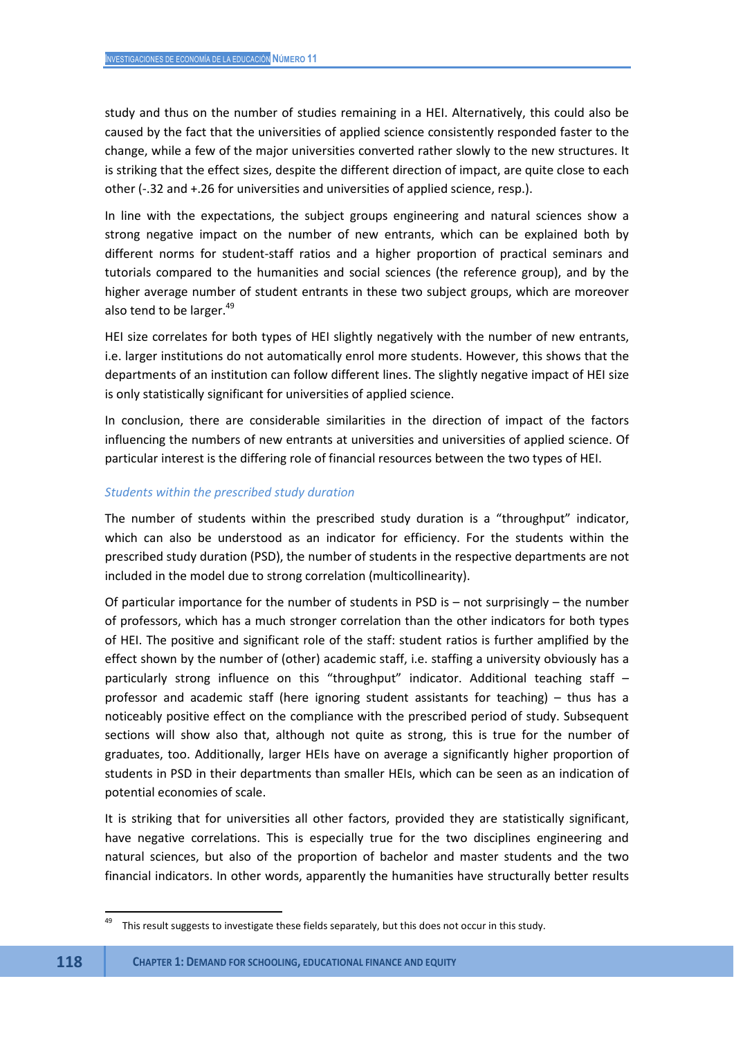study and thus on the number of studies remaining in a HEI. Alternatively, this could also be caused by the fact that the universities of applied science consistently responded faster to the change, while a few of the major universities converted rather slowly to the new structures. It is striking that the effect sizes, despite the different direction of impact, are quite close to each other (-.32 and +.26 for universities and universities of applied science, resp.).

In line with the expectations, the subject groups engineering and natural sciences show a strong negative impact on the number of new entrants, which can be explained both by different norms for student-staff ratios and a higher proportion of practical seminars and tutorials compared to the humanities and social sciences (the reference group), and by the higher average number of student entrants in these two subject groups, which are moreover also tend to be larger.<sup>49</sup>

HEI size correlates for both types of HEI slightly negatively with the number of new entrants, i.e. larger institutions do not automatically enrol more students. However, this shows that the departments of an institution can follow different lines. The slightly negative impact of HEI size is only statistically significant for universities of applied science.

In conclusion, there are considerable similarities in the direction of impact of the factors influencing the numbers of new entrants at universities and universities of applied science. Of particular interest is the differing role of financial resources between the two types of HEI.

### *Students within the prescribed study duration*

The number of students within the prescribed study duration is a "throughput" indicator, which can also be understood as an indicator for efficiency. For the students within the prescribed study duration (PSD), the number of students in the respective departments are not included in the model due to strong correlation (multicollinearity).

Of particular importance for the number of students in PSD is – not surprisingly – the number of professors, which has a much stronger correlation than the other indicators for both types of HEI. The positive and significant role of the staff: student ratios is further amplified by the effect shown by the number of (other) academic staff, i.e. staffing a university obviously has a particularly strong influence on this "throughput" indicator. Additional teaching staff professor and academic staff (here ignoring student assistants for teaching) – thus has a noticeably positive effect on the compliance with the prescribed period of study. Subsequent sections will show also that, although not quite as strong, this is true for the number of graduates, too. Additionally, larger HEIs have on average a significantly higher proportion of students in PSD in their departments than smaller HEIs, which can be seen as an indication of potential economies of scale.

It is striking that for universities all other factors, provided they are statistically significant, have negative correlations. This is especially true for the two disciplines engineering and natural sciences, but also of the proportion of bachelor and master students and the two financial indicators. In other words, apparently the humanities have structurally better results

<sup>49</sup> This result suggests to investigate these fields separately, but this does not occur in this study.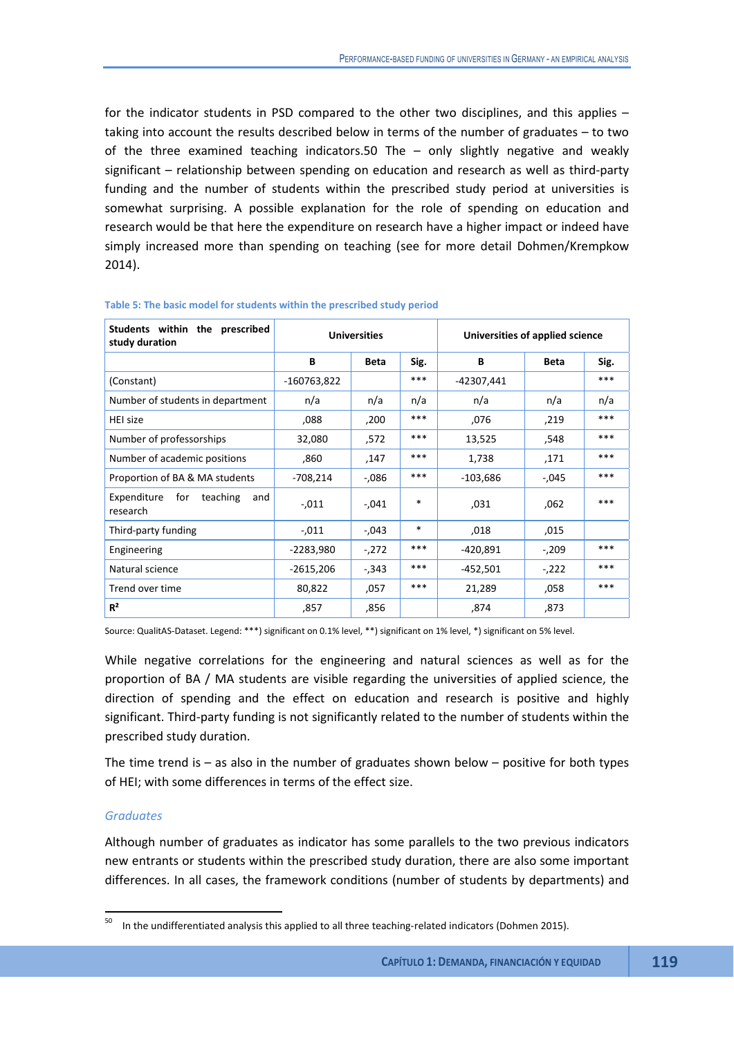for the indicator students in PSD compared to the other two disciplines, and this applies – taking into account the results described below in terms of the number of graduates – to two of the three examined teaching indicators.50 The – only slightly negative and weakly significant – relationship between spending on education and research as well as third-party funding and the number of students within the prescribed study period at universities is somewhat surprising. A possible explanation for the role of spending on education and research would be that here the expenditure on research have a higher impact or indeed have simply increased more than spending on teaching (see for more detail Dohmen/Krempkow 2014).

| Students within the prescribed<br>study duration |             | <b>Universities</b> |        | Universities of applied science |         |       |
|--------------------------------------------------|-------------|---------------------|--------|---------------------------------|---------|-------|
|                                                  | В           | Beta                | Sig.   | В                               | Beta    | Sig.  |
| (Constant)                                       | -160763,822 |                     | ***    | -42307,441                      |         | ***   |
| Number of students in department                 | n/a         | n/a                 | n/a    | n/a                             | n/a     | n/a   |
| HEI size                                         | ,088        | ,200                | ***    | ,076                            | ,219    | ***   |
| Number of professorships                         | 32,080      | .572                | ***    | 13,525                          | ,548    | ***   |
| Number of academic positions                     | ,860        | 147,                | ***    | 1,738                           | ,171    | ***   |
| Proportion of BA & MA students                   | $-708,214$  | $-0.086$            | ***    | $-103,686$                      | $-.045$ | $***$ |
| for teaching<br>Expenditure<br>and<br>research   | $-.011$     | $-.041$             | $\ast$ | ,031                            | .062    | ***   |
| Third-party funding                              | $-.011$     | $-0.043$            | $\ast$ | ,018                            | ,015    |       |
| Engineering                                      | $-2283,980$ | $-272$              | ***    | -420,891                        | $-.209$ | ***   |
| Natural science                                  | $-2615,206$ | $-0.343$            | ***    | $-452,501$                      | $-222$  | ***   |
| Trend over time                                  | 80,822      | ,057                | ***    | 21,289                          | ,058    | ***   |
| R <sup>2</sup>                                   | ,857        | ,856                |        | ,874                            | ,873    |       |

#### **Table 5: The basic model for students within the prescribed study period**

Source: QualitAS-Dataset. Legend: \*\*\*) significant on 0.1% level, \*\*) significant on 1% level, \*) significant on 5% level.

While negative correlations for the engineering and natural sciences as well as for the proportion of BA / MA students are visible regarding the universities of applied science, the direction of spending and the effect on education and research is positive and highly significant. Third-party funding is not significantly related to the number of students within the prescribed study duration.

The time trend is  $-$  as also in the number of graduates shown below  $-$  positive for both types of HEI; with some differences in terms of the effect size.

### *Graduates*

Although number of graduates as indicator has some parallels to the two previous indicators new entrants or students within the prescribed study duration, there are also some important differences. In all cases, the framework conditions (number of students by departments) and

<sup>50</sup> In the undifferentiated analysis this applied to all three teaching-related indicators (Dohmen 2015).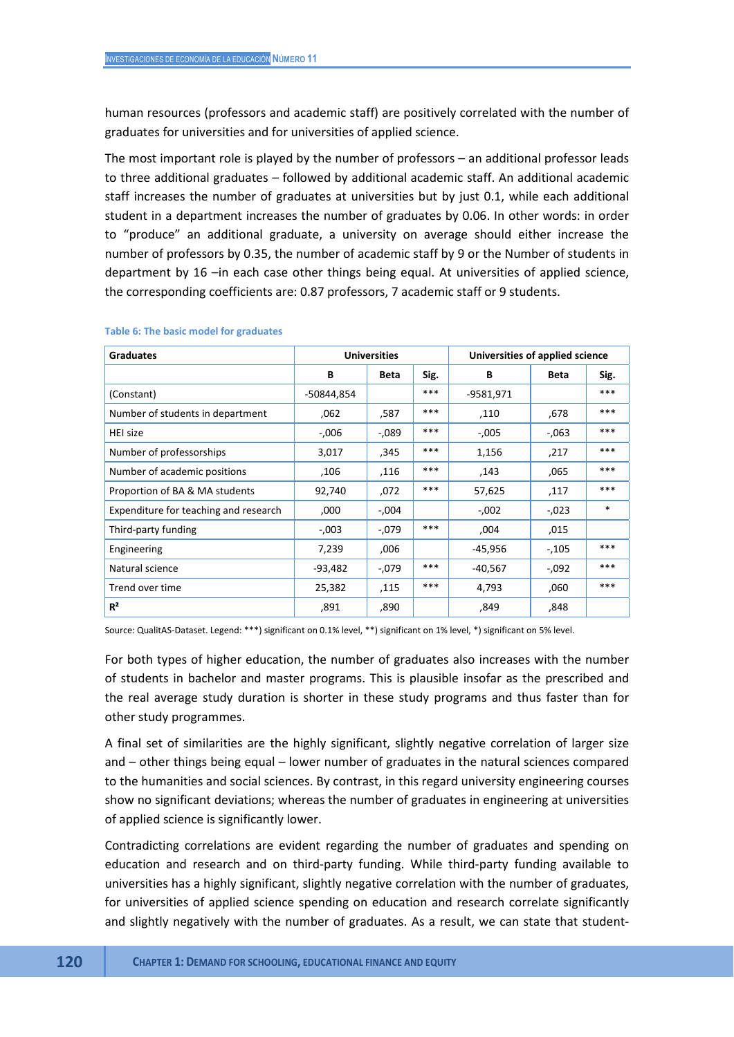human resources (professors and academic staff) are positively correlated with the number of graduates for universities and for universities of applied science.

The most important role is played by the number of professors – an additional professor leads to three additional graduates – followed by additional academic staff. An additional academic staff increases the number of graduates at universities but by just 0.1, while each additional student in a department increases the number of graduates by 0.06. In other words: in order to "produce" an additional graduate, a university on average should either increase the number of professors by 0.35, the number of academic staff by 9 or the Number of students in department by 16 –in each case other things being equal. At universities of applied science, the corresponding coefficients are: 0.87 professors, 7 academic staff or 9 students.

| <b>Graduates</b>                      |            | <b>Universities</b> |      | Universities of applied science |          |        |  |
|---------------------------------------|------------|---------------------|------|---------------------------------|----------|--------|--|
|                                       | В          | Beta                | Sig. | В                               | Beta     | Sig.   |  |
| (Constant)                            | -50844,854 |                     | ***  | -9581,971                       |          | ***    |  |
| Number of students in department      | .062       | ,587                | ***  | ,110                            | .678     | ***    |  |
| HEI size                              | $-0.006$   | $-0.089$            | ***  | $-0.005$                        | $-063$   | ***    |  |
| Number of professorships              | 3,017      | ,345                | ***  | 1,156                           | ,217     | ***    |  |
| Number of academic positions          | ,106       | ,116                | ***  | ,143                            | ,065     | ***    |  |
| Proportion of BA & MA students        | 92,740     | ,072                | ***  | 57,625                          | ,117     | ***    |  |
| Expenditure for teaching and research | ,000       | -,004               |      | $-0.002$                        | $-0.023$ | $\ast$ |  |
| Third-party funding                   | $-0.003$   | -,079               | ***  | ,004                            | ,015     |        |  |
| Engineering                           | 7,239      | ,006                |      | -45,956                         | -,105    | ***    |  |
| Natural science                       | $-93,482$  | -,079               | ***  | $-40,567$                       | $-0.092$ | ***    |  |
| Trend over time                       | 25,382     | .115                | ***  | 4,793                           | ,060     | ***    |  |
| $R^2$                                 | ,891       | ,890                |      | ,849                            | ,848     |        |  |

#### **Table 6: The basic model for graduates**

Source: QualitAS-Dataset. Legend: \*\*\*) significant on 0.1% level, \*\*) significant on 1% level, \*) significant on 5% level.

For both types of higher education, the number of graduates also increases with the number of students in bachelor and master programs. This is plausible insofar as the prescribed and the real average study duration is shorter in these study programs and thus faster than for other study programmes.

A final set of similarities are the highly significant, slightly negative correlation of larger size and – other things being equal – lower number of graduates in the natural sciences compared to the humanities and social sciences. By contrast, in this regard university engineering courses show no significant deviations; whereas the number of graduates in engineering at universities of applied science is significantly lower.

Contradicting correlations are evident regarding the number of graduates and spending on education and research and on third-party funding. While third-party funding available to universities has a highly significant, slightly negative correlation with the number of graduates, for universities of applied science spending on education and research correlate significantly and slightly negatively with the number of graduates. As a result, we can state that student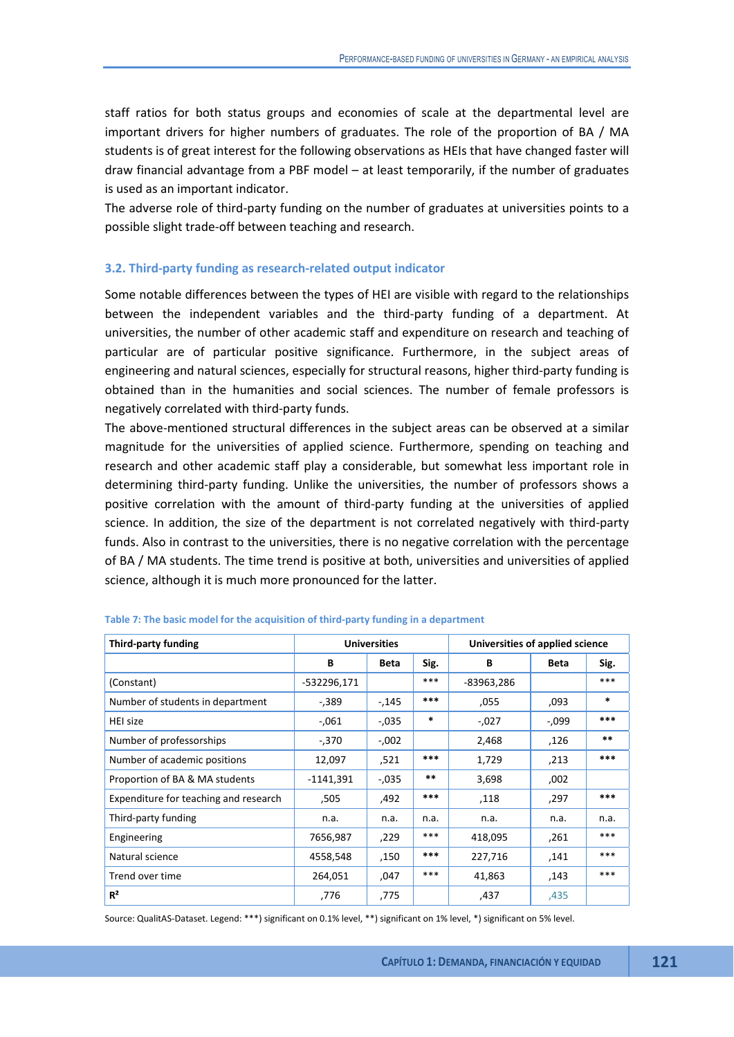staff ratios for both status groups and economies of scale at the departmental level are important drivers for higher numbers of graduates. The role of the proportion of BA / MA students is of great interest for the following observations as HEIs that have changed faster will draw financial advantage from a PBF model – at least temporarily, if the number of graduates is used as an important indicator.

The adverse role of third-party funding on the number of graduates at universities points to a possible slight trade-off between teaching and research.

### **3.2. Third-party funding as research-related output indicator**

Some notable differences between the types of HEI are visible with regard to the relationships between the independent variables and the third-party funding of a department. At universities, the number of other academic staff and expenditure on research and teaching of particular are of particular positive significance. Furthermore, in the subject areas of engineering and natural sciences, especially for structural reasons, higher third-party funding is obtained than in the humanities and social sciences. The number of female professors is negatively correlated with third-party funds.

The above-mentioned structural differences in the subject areas can be observed at a similar magnitude for the universities of applied science. Furthermore, spending on teaching and research and other academic staff play a considerable, but somewhat less important role in determining third-party funding. Unlike the universities, the number of professors shows a positive correlation with the amount of third-party funding at the universities of applied science. In addition, the size of the department is not correlated negatively with third-party funds. Also in contrast to the universities, there is no negative correlation with the percentage of BA / MA students. The time trend is positive at both, universities and universities of applied science, although it is much more pronounced for the latter.

| Third-party funding                   |             | <b>Universities</b> |        | Universities of applied science |             |        |
|---------------------------------------|-------------|---------------------|--------|---------------------------------|-------------|--------|
|                                       | В           | Beta                | Sig.   | В                               | <b>Beta</b> | Sig.   |
| (Constant)                            | -532296,171 |                     | ***    | -83963,286                      |             | ***    |
| Number of students in department      | $-0.389$    | -,145               | ***    | ,055                            | ,093        | $\ast$ |
| <b>HEI size</b>                       | $-0.061$    | -,035               | $\ast$ | $-0.027$                        | -,099       | ***    |
| Number of professorships              | $-0.370$    | $-0.002$            |        | 2,468                           | ,126        | $***$  |
| Number of academic positions          | 12,097      | ,521                | ***    | 1,729                           | ,213        | ***    |
| Proportion of BA & MA students        | $-1141,391$ | $-0.035$            | **     | 3,698                           | ,002        |        |
| Expenditure for teaching and research | ,505        | .492                | ***    | ,118                            | ,297        | ***    |
| Third-party funding                   | n.a.        | n.a.                | n.a.   | n.a.                            | n.a.        | n.a.   |
| Engineering                           | 7656,987    | ,229                | ***    | 418,095                         | ,261        | ***    |
| Natural science                       | 4558,548    | ,150                | ***    | 227,716                         | ,141        | ***    |
| Trend over time                       | 264,051     | ,047                | ***    | 41,863                          | ,143        | ***    |
| R <sup>2</sup>                        | ,776        | ,775                |        | ,437                            | ,435        |        |

|  |  | Table 7: The basic model for the acquisition of third-party funding in a department |
|--|--|-------------------------------------------------------------------------------------|
|--|--|-------------------------------------------------------------------------------------|

Source: QualitAS-Dataset. Legend: \*\*\*) significant on 0.1% level, \*\*) significant on 1% level, \*) significant on 5% level.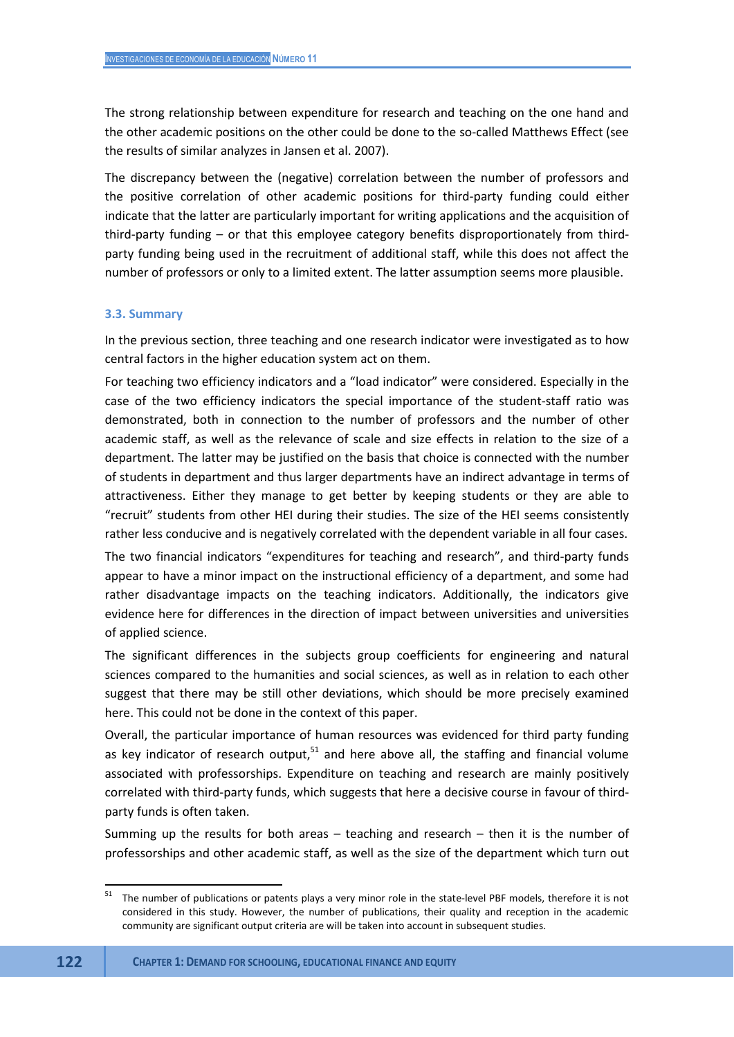The strong relationship between expenditure for research and teaching on the one hand and the other academic positions on the other could be done to the so-called Matthews Effect (see the results of similar analyzes in Jansen et al. 2007).

The discrepancy between the (negative) correlation between the number of professors and the positive correlation of other academic positions for third-party funding could either indicate that the latter are particularly important for writing applications and the acquisition of third-party funding – or that this employee category benefits disproportionately from thirdparty funding being used in the recruitment of additional staff, while this does not affect the number of professors or only to a limited extent. The latter assumption seems more plausible.

#### **3.3. Summary**

In the previous section, three teaching and one research indicator were investigated as to how central factors in the higher education system act on them.

For teaching two efficiency indicators and a "load indicator" were considered. Especially in the case of the two efficiency indicators the special importance of the student-staff ratio was demonstrated, both in connection to the number of professors and the number of other academic staff, as well as the relevance of scale and size effects in relation to the size of a department. The latter may be justified on the basis that choice is connected with the number of students in department and thus larger departments have an indirect advantage in terms of attractiveness. Either they manage to get better by keeping students or they are able to "recruit" students from other HEI during their studies. The size of the HEI seems consistently rather less conducive and is negatively correlated with the dependent variable in all four cases.

The two financial indicators "expenditures for teaching and research", and third-party funds appear to have a minor impact on the instructional efficiency of a department, and some had rather disadvantage impacts on the teaching indicators. Additionally, the indicators give evidence here for differences in the direction of impact between universities and universities of applied science.

The significant differences in the subjects group coefficients for engineering and natural sciences compared to the humanities and social sciences, as well as in relation to each other suggest that there may be still other deviations, which should be more precisely examined here. This could not be done in the context of this paper.

Overall, the particular importance of human resources was evidenced for third party funding as key indicator of research output, $51$  and here above all, the staffing and financial volume associated with professorships. Expenditure on teaching and research are mainly positively correlated with third-party funds, which suggests that here a decisive course in favour of thirdparty funds is often taken.

Summing up the results for both areas – teaching and research – then it is the number of professorships and other academic staff, as well as the size of the department which turn out

 $51$ The number of publications or patents plays a very minor role in the state-level PBF models, therefore it is not considered in this study. However, the number of publications, their quality and reception in the academic community are significant output criteria are will be taken into account in subsequent studies.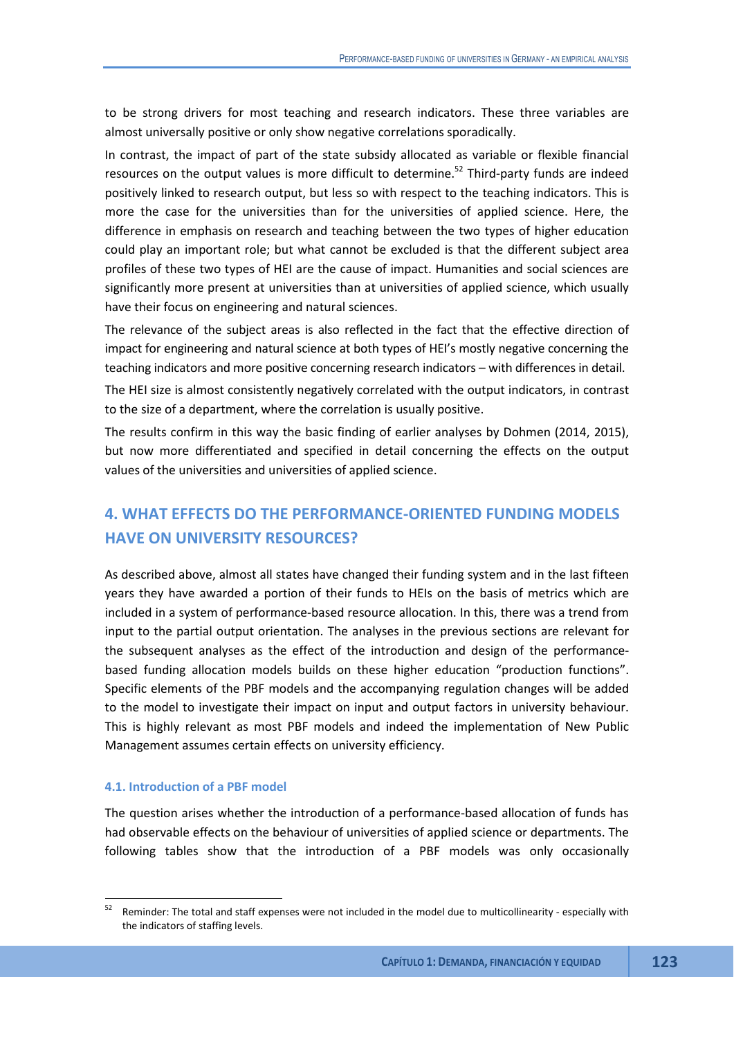to be strong drivers for most teaching and research indicators. These three variables are almost universally positive or only show negative correlations sporadically.

In contrast, the impact of part of the state subsidy allocated as variable or flexible financial resources on the output values is more difficult to determine.<sup>52</sup> Third-party funds are indeed positively linked to research output, but less so with respect to the teaching indicators. This is more the case for the universities than for the universities of applied science. Here, the difference in emphasis on research and teaching between the two types of higher education could play an important role; but what cannot be excluded is that the different subject area profiles of these two types of HEI are the cause of impact. Humanities and social sciences are significantly more present at universities than at universities of applied science, which usually have their focus on engineering and natural sciences.

The relevance of the subject areas is also reflected in the fact that the effective direction of impact for engineering and natural science at both types of HEI's mostly negative concerning the teaching indicators and more positive concerning research indicators – with differences in detail.

The HEI size is almost consistently negatively correlated with the output indicators, in contrast to the size of a department, where the correlation is usually positive.

The results confirm in this way the basic finding of earlier analyses by Dohmen (2014, 2015), but now more differentiated and specified in detail concerning the effects on the output values of the universities and universities of applied science.

# **4. WHAT EFFECTS DO THE PERFORMANCE-ORIENTED FUNDING MODELS HAVE ON UNIVERSITY RESOURCES?**

As described above, almost all states have changed their funding system and in the last fifteen years they have awarded a portion of their funds to HEIs on the basis of metrics which are included in a system of performance-based resource allocation. In this, there was a trend from input to the partial output orientation. The analyses in the previous sections are relevant for the subsequent analyses as the effect of the introduction and design of the performancebased funding allocation models builds on these higher education "production functions". Specific elements of the PBF models and the accompanying regulation changes will be added to the model to investigate their impact on input and output factors in university behaviour. This is highly relevant as most PBF models and indeed the implementation of New Public Management assumes certain effects on university efficiency.

## **4.1. Introduction of a PBF model**

The question arises whether the introduction of a performance-based allocation of funds has had observable effects on the behaviour of universities of applied science or departments. The following tables show that the introduction of a PBF models was only occasionally

<sup>52</sup> Reminder: The total and staff expenses were not included in the model due to multicollinearity - especially with the indicators of staffing levels.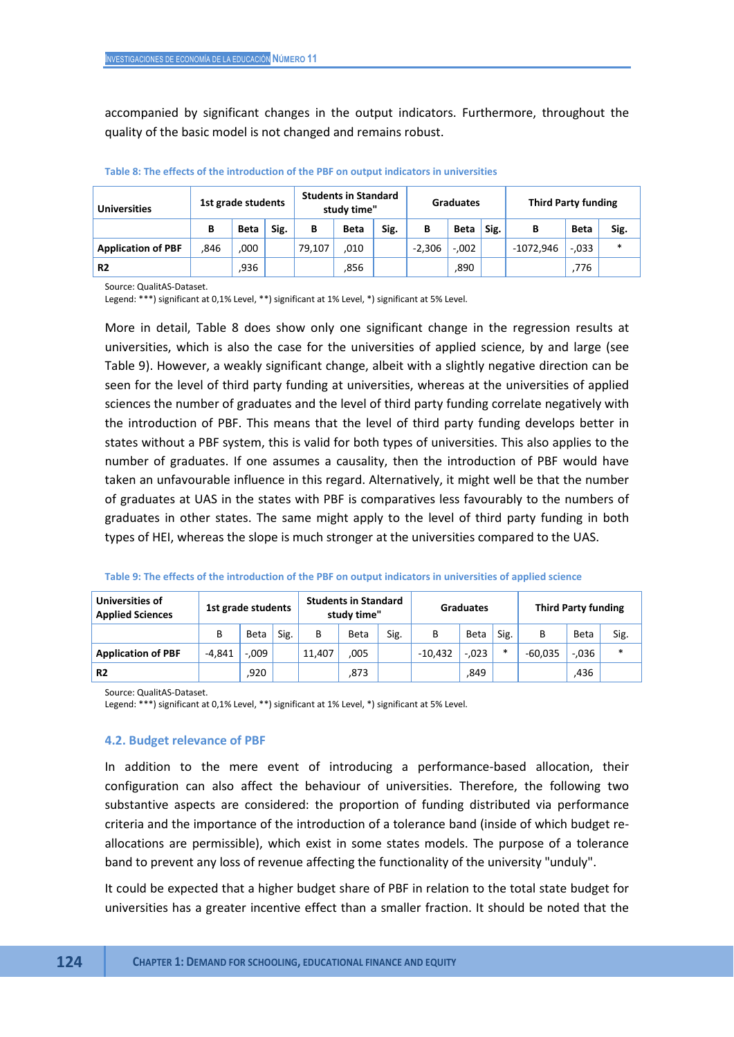accompanied by significant changes in the output indicators. Furthermore, throughout the quality of the basic model is not changed and remains robust.

| <b>Universities</b>       | 1st grade students |             |      | <b>Students in Standard</b><br>study time" |      |      | <b>Graduates</b> |             |      | <b>Third Party funding</b> |             |        |
|---------------------------|--------------------|-------------|------|--------------------------------------------|------|------|------------------|-------------|------|----------------------------|-------------|--------|
|                           | в                  | <b>Beta</b> | Sig. | в                                          | Beta | Sig. | В                | <b>Beta</b> | Sig. | В                          | <b>Beta</b> | Sig.   |
| <b>Application of PBF</b> | .846               | 000         |      | 79.107                                     | ,010 |      | $-2,306$         | $-.002$     |      | -1072,946                  | $-0.033$    | $\ast$ |
| R <sub>2</sub>            |                    | ,936        |      |                                            | ,856 |      |                  | ,890        |      |                            | .776        |        |

#### **Table 8: The effects of the introduction of the PBF on output indicators in universities**

Source: QualitAS-Dataset.

Legend: \*\*\*) significant at 0,1% Level, \*\*) significant at 1% Level, \*) significant at 5% Level.

More in detail, Table 8 does show only one significant change in the regression results at universities, which is also the case for the universities of applied science, by and large (see Table 9). However, a weakly significant change, albeit with a slightly negative direction can be seen for the level of third party funding at universities, whereas at the universities of applied sciences the number of graduates and the level of third party funding correlate negatively with the introduction of PBF. This means that the level of third party funding develops better in states without a PBF system, this is valid for both types of universities. This also applies to the number of graduates. If one assumes a causality, then the introduction of PBF would have taken an unfavourable influence in this regard. Alternatively, it might well be that the number of graduates at UAS in the states with PBF is comparatives less favourably to the numbers of graduates in other states. The same might apply to the level of third party funding in both types of HEI, whereas the slope is much stronger at the universities compared to the UAS.

| Universities of<br><b>Applied Sciences</b> | 1st grade students |         |      | <b>Students in Standard</b><br>study time" |             |      | <b>Graduates</b> |         |      | <b>Third Party funding</b> |         |        |
|--------------------------------------------|--------------------|---------|------|--------------------------------------------|-------------|------|------------------|---------|------|----------------------------|---------|--------|
|                                            | В                  | Beta    | Sig. | В                                          | <b>Beta</b> | Sig. | B                | Beta    | Sig. | в                          | Beta    | Sig.   |
| <b>Application of PBF</b>                  | $-4.841$           | $-.009$ |      | 11.407                                     | ,005        |      | $-10.432$        | $-.023$ | *    | $-60.035$                  | $-.036$ | $\ast$ |
| R <sub>2</sub>                             |                    | ,920    |      |                                            | ,873        |      |                  | ,849    |      |                            | .436    |        |

Source: QualitAS-Dataset.

Legend: \*\*\*) significant at 0,1% Level, \*\*) significant at 1% Level, \*) significant at 5% Level.

#### **4.2. Budget relevance of PBF**

In addition to the mere event of introducing a performance-based allocation, their configuration can also affect the behaviour of universities. Therefore, the following two substantive aspects are considered: the proportion of funding distributed via performance criteria and the importance of the introduction of a tolerance band (inside of which budget reallocations are permissible), which exist in some states models. The purpose of a tolerance band to prevent any loss of revenue affecting the functionality of the university "unduly".

It could be expected that a higher budget share of PBF in relation to the total state budget for universities has a greater incentive effect than a smaller fraction. It should be noted that the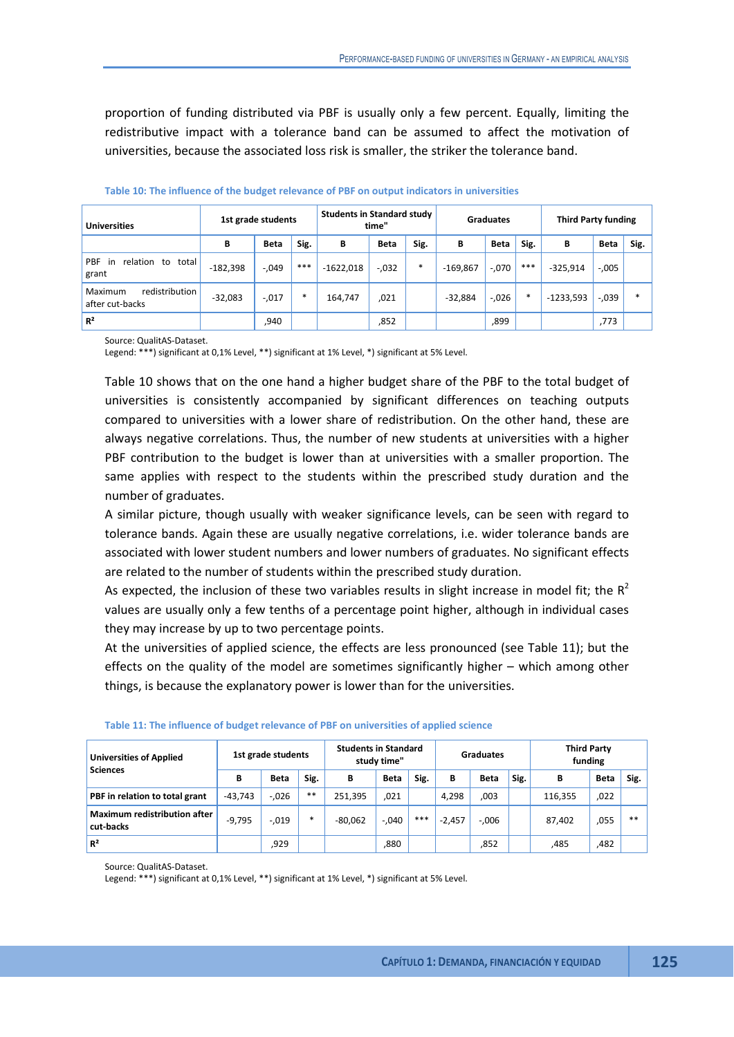proportion of funding distributed via PBF is usually only a few percent. Equally, limiting the redistributive impact with a tolerance band can be assumed to affect the motivation of universities, because the associated loss risk is smaller, the striker the tolerance band.

| <b>Universities</b>                               | 1st grade students |             |        | <b>Students in Standard study</b> | time"       | <b>Graduates</b> |            |             | <b>Third Party funding</b> |             |             |        |
|---------------------------------------------------|--------------------|-------------|--------|-----------------------------------|-------------|------------------|------------|-------------|----------------------------|-------------|-------------|--------|
|                                                   | В                  | <b>Beta</b> | Sig.   | В                                 | <b>Beta</b> | Sig.             | в          | <b>Beta</b> | Sig.                       | В           | <b>Beta</b> | Sig.   |
| <b>PBF</b><br>relation to<br>total<br>in<br>grant | $-182,398$         | $-.049$     | ***    | $-1622,018$                       | $-0.032$    | $\ast$           | $-169,867$ | $-.070$     | ***                        | $-325,914$  | $-0.005$    |        |
| Maximum<br>redistribution<br>after cut-backs      | $-32,083$          | $-.017$     | $\ast$ | 164,747                           | ,021        |                  | $-32,884$  | $-.026$     | $\ast$                     | $-1233,593$ | $-.039$     | $\ast$ |
| R <sup>2</sup>                                    |                    | ,940        |        |                                   | ,852        |                  |            | ,899        |                            |             | ,773        |        |

|  |  | Table 10: The influence of the budget relevance of PBF on output indicators in universities |
|--|--|---------------------------------------------------------------------------------------------|
|--|--|---------------------------------------------------------------------------------------------|

Source: QualitAS-Dataset.

Legend: \*\*\*) significant at 0,1% Level, \*\*) significant at 1% Level, \*) significant at 5% Level.

Table 10 shows that on the one hand a higher budget share of the PBF to the total budget of universities is consistently accompanied by significant differences on teaching outputs compared to universities with a lower share of redistribution. On the other hand, these are always negative correlations. Thus, the number of new students at universities with a higher PBF contribution to the budget is lower than at universities with a smaller proportion. The same applies with respect to the students within the prescribed study duration and the number of graduates.

A similar picture, though usually with weaker significance levels, can be seen with regard to tolerance bands. Again these are usually negative correlations, i.e. wider tolerance bands are associated with lower student numbers and lower numbers of graduates. No significant effects are related to the number of students within the prescribed study duration.

As expected, the inclusion of these two variables results in slight increase in model fit; the  $R^2$ values are usually only a few tenths of a percentage point higher, although in individual cases they may increase by up to two percentage points.

At the universities of applied science, the effects are less pronounced (see Table 11); but the effects on the quality of the model are sometimes significantly higher – which among other things, is because the explanatory power is lower than for the universities.

| <b>Universities of Applied</b><br><b>Sciences</b> | 1st grade students |             |        | <b>Students in Standard</b><br>study time" |             |      | <b>Graduates</b> |             |      | <b>Third Party</b><br>funding |                              |      |
|---------------------------------------------------|--------------------|-------------|--------|--------------------------------------------|-------------|------|------------------|-------------|------|-------------------------------|------------------------------|------|
|                                                   | В                  | <b>Beta</b> | Sig.   | В                                          | <b>Beta</b> | Sig. | В                | <b>Beta</b> | Sig. | в                             | Beta<br>,022<br>,055<br>,482 | Sig. |
| PBF in relation to total grant                    | $-43.743$          | $-.026$     | $***$  | 251.395                                    | .021        |      | 4,298            | ,003        |      | 116,355                       |                              |      |
| <b>Maximum redistribution after</b><br>cut-backs  | $-9,795$           | $-.019$     | $\ast$ | $-80.062$                                  | $-.040$     | ***  | $-2,457$         | $-.006$     |      | 87,402                        |                              | $**$ |
| $R^2$                                             |                    | ,929        |        |                                            | ,880        |      |                  | ,852        |      | ,485                          |                              |      |

**Table 11: The influence of budget relevance of PBF on universities of applied science** 

Source: QualitAS-Dataset.

Legend: \*\*\*) significant at 0,1% Level, \*\*) significant at 1% Level, \*) significant at 5% Level.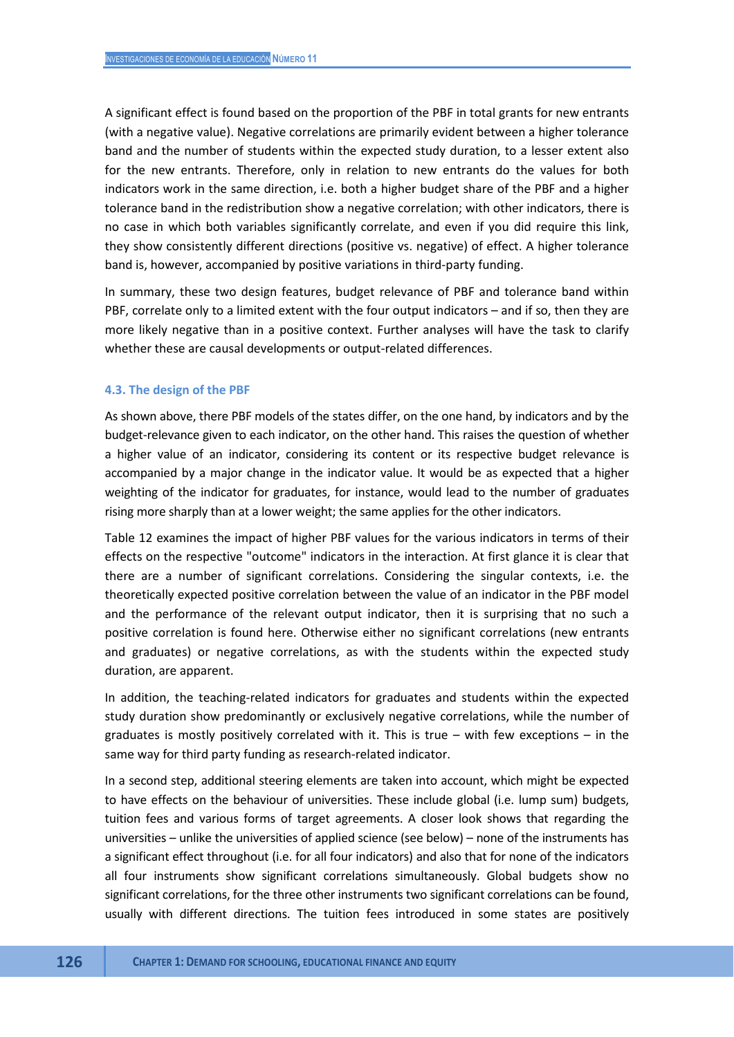A significant effect is found based on the proportion of the PBF in total grants for new entrants (with a negative value). Negative correlations are primarily evident between a higher tolerance band and the number of students within the expected study duration, to a lesser extent also for the new entrants. Therefore, only in relation to new entrants do the values for both indicators work in the same direction, i.e. both a higher budget share of the PBF and a higher tolerance band in the redistribution show a negative correlation; with other indicators, there is no case in which both variables significantly correlate, and even if you did require this link, they show consistently different directions (positive vs. negative) of effect. A higher tolerance band is, however, accompanied by positive variations in third-party funding.

In summary, these two design features, budget relevance of PBF and tolerance band within PBF, correlate only to a limited extent with the four output indicators – and if so, then they are more likely negative than in a positive context. Further analyses will have the task to clarify whether these are causal developments or output-related differences.

#### **4.3. The design of the PBF**

As shown above, there PBF models of the states differ, on the one hand, by indicators and by the budget-relevance given to each indicator, on the other hand. This raises the question of whether a higher value of an indicator, considering its content or its respective budget relevance is accompanied by a major change in the indicator value. It would be as expected that a higher weighting of the indicator for graduates, for instance, would lead to the number of graduates rising more sharply than at a lower weight; the same applies for the other indicators.

Table 12 examines the impact of higher PBF values for the various indicators in terms of their effects on the respective "outcome" indicators in the interaction. At first glance it is clear that there are a number of significant correlations. Considering the singular contexts, i.e. the theoretically expected positive correlation between the value of an indicator in the PBF model and the performance of the relevant output indicator, then it is surprising that no such a positive correlation is found here. Otherwise either no significant correlations (new entrants and graduates) or negative correlations, as with the students within the expected study duration, are apparent.

In addition, the teaching-related indicators for graduates and students within the expected study duration show predominantly or exclusively negative correlations, while the number of graduates is mostly positively correlated with it. This is true – with few exceptions – in the same way for third party funding as research-related indicator.

In a second step, additional steering elements are taken into account, which might be expected to have effects on the behaviour of universities. These include global (i.e. lump sum) budgets, tuition fees and various forms of target agreements. A closer look shows that regarding the universities – unlike the universities of applied science (see below) – none of the instruments has a significant effect throughout (i.e. for all four indicators) and also that for none of the indicators all four instruments show significant correlations simultaneously. Global budgets show no significant correlations, for the three other instruments two significant correlations can be found, usually with different directions. The tuition fees introduced in some states are positively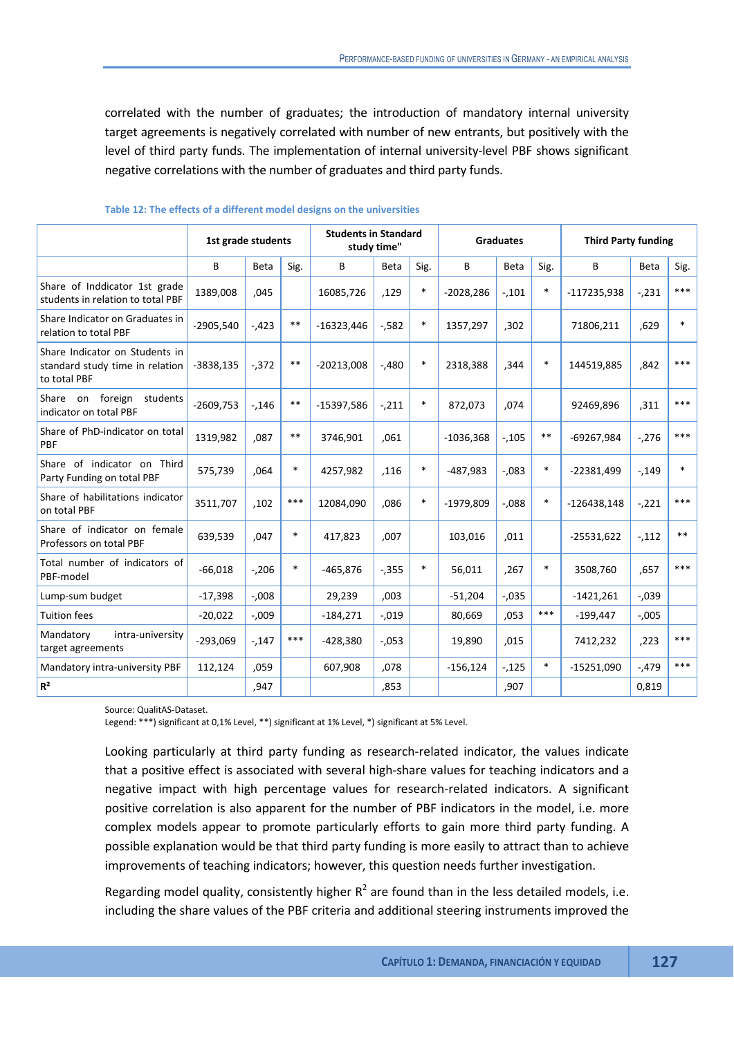correlated with the number of graduates; the introduction of mandatory internal university target agreements is negatively correlated with number of new entrants, but positively with the level of third party funds. The implementation of internal university-level PBF shows significant negative correlations with the number of graduates and third party funds.

|                                                                                   | 1st grade students |             |        | <b>Students in Standard</b> | study time" |        |             | <b>Graduates</b> |        | <b>Third Party funding</b> |             |        |
|-----------------------------------------------------------------------------------|--------------------|-------------|--------|-----------------------------|-------------|--------|-------------|------------------|--------|----------------------------|-------------|--------|
|                                                                                   | B                  | <b>Beta</b> | Sig.   | B                           | Beta        | Sig.   | B           | Beta             | Sig.   | B                          | <b>Beta</b> | Sig.   |
| Share of Inddicator 1st grade<br>students in relation to total PBF                | 1389,008           | .045        |        | 16085,726                   | ,129        | $\ast$ | $-2028,286$ | $-.101$          | $\ast$ | -117235,938                | $-231$      | ***    |
| Share Indicator on Graduates in<br>relation to total PBF                          | $-2905,540$        | $-.423$     | $**$   | $-16323,446$                | $-582$      | $\ast$ | 1357,297    | ,302             |        | 71806,211                  | .629        | $\ast$ |
| Share Indicator on Students in<br>standard study time in relation<br>to total PBF | $-3838,135$        | $-0.372$    | $***$  | $-20213,008$                | $-.480$     | $\ast$ | 2318,388    | ,344             | $\ast$ | 144519,885                 | ,842        | ***    |
| Share on foreign<br>students<br>indicator on total PBF                            | $-2609,753$        | $-146$      | $* *$  | $-15397,586$                | $-.211$     | $\ast$ | 872.073     | .074             |        | 92469,896                  | ,311        | ***    |
| Share of PhD-indicator on total<br><b>PBF</b>                                     | 1319,982           | .087        | $**$   | 3746,901                    | .061        |        | $-1036,368$ | $-105$           | $***$  | -69267,984                 | $-276$      | ***    |
| Share of indicator on Third<br>Party Funding on total PBF                         | 575,739            | ,064        | $\ast$ | 4257,982                    | ,116        | *      | $-487,983$  | $-0.083$         | $\ast$ | $-22381,499$               | $-149$      | $\ast$ |
| Share of habilitations indicator<br>on total PBF                                  | 3511,707           | .102        | ***    | 12084.090                   | .086        | $\ast$ | $-1979.809$ | $-.088$          | $\ast$ | $-126438,148$              | $-.221$     | ***    |
| Share of indicator on female<br>Professors on total PBF                           | 639,539            | .047        | $\ast$ | 417,823                     | ,007        |        | 103,016     | ,011             |        | $-25531,622$               | $-.112$     | $***$  |
| Total number of indicators of<br>PBF-model                                        | $-66,018$          | $-206$      | $\ast$ | $-465,876$                  | $-0.355$    | $\ast$ | 56,011      | ,267             | $\ast$ | 3508,760                   | .657        | ***    |
| Lump-sum budget                                                                   | $-17,398$          | $-0.008$    |        | 29,239                      | ,003        |        | $-51,204$   | $-0.035$         |        | $-1421,261$                | $-0.039$    |        |
| <b>Tuition fees</b>                                                               | $-20,022$          | $-0.09$     |        | $-184,271$                  | $-0.019$    |        | 80,669      | ,053             | ***    | $-199,447$                 | $-0.005$    |        |
| Mandatory<br>intra-university<br>target agreements                                | $-293,069$         | $-147$      | ***    | $-428,380$                  | $-0.053$    |        | 19,890      | .015             |        | 7412,232                   | ,223        | ***    |
| Mandatory intra-university PBF                                                    | 112,124            | .059        |        | 607,908                     | ,078        |        | $-156, 124$ | $-125$           | $\ast$ | $-15251,090$               | $-0.479$    | ***    |
| R <sup>2</sup>                                                                    |                    | .947        |        |                             | .853        |        |             | .907             |        |                            | 0.819       |        |

#### **Table 12: The effects of a different model designs on the universities**

Source: QualitAS-Dataset.

Legend: \*\*\*) significant at 0,1% Level, \*\*) significant at 1% Level, \*) significant at 5% Level.

Looking particularly at third party funding as research-related indicator, the values indicate that a positive effect is associated with several high-share values for teaching indicators and a negative impact with high percentage values for research-related indicators. A significant positive correlation is also apparent for the number of PBF indicators in the model, i.e. more complex models appear to promote particularly efforts to gain more third party funding. A possible explanation would be that third party funding is more easily to attract than to achieve improvements of teaching indicators; however, this question needs further investigation.

Regarding model quality, consistently higher  $R^2$  are found than in the less detailed models, i.e. including the share values of the PBF criteria and additional steering instruments improved the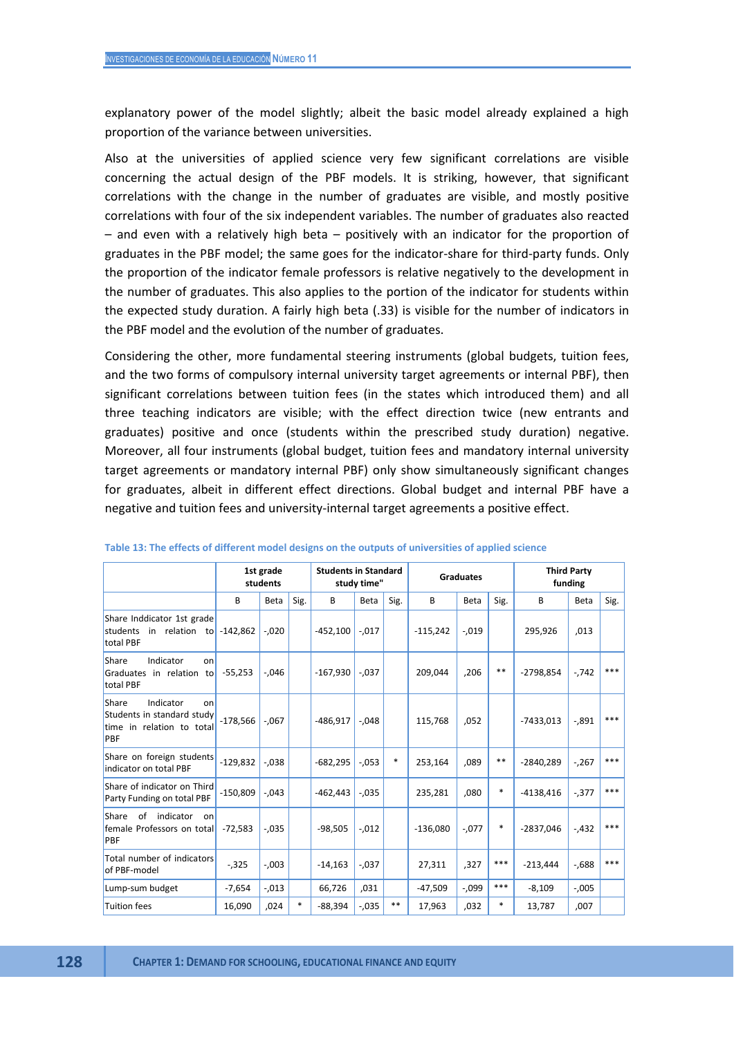explanatory power of the model slightly; albeit the basic model already explained a high proportion of the variance between universities.

Also at the universities of applied science very few significant correlations are visible concerning the actual design of the PBF models. It is striking, however, that significant correlations with the change in the number of graduates are visible, and mostly positive correlations with four of the six independent variables. The number of graduates also reacted – and even with a relatively high beta – positively with an indicator for the proportion of graduates in the PBF model; the same goes for the indicator-share for third-party funds. Only the proportion of the indicator female professors is relative negatively to the development in the number of graduates. This also applies to the portion of the indicator for students within the expected study duration. A fairly high beta (.33) is visible for the number of indicators in the PBF model and the evolution of the number of graduates.

Considering the other, more fundamental steering instruments (global budgets, tuition fees, and the two forms of compulsory internal university target agreements or internal PBF), then significant correlations between tuition fees (in the states which introduced them) and all three teaching indicators are visible; with the effect direction twice (new entrants and graduates) positive and once (students within the prescribed study duration) negative. Moreover, all four instruments (global budget, tuition fees and mandatory internal university target agreements or mandatory internal PBF) only show simultaneously significant changes for graduates, albeit in different effect directions. Global budget and internal PBF have a negative and tuition fees and university-internal target agreements a positive effect.

|                                                                                            |            | 1st grade   |        |            | <b>Students in Standard</b> |        |            |                  |       | <b>Third Party</b> |          |       |  |
|--------------------------------------------------------------------------------------------|------------|-------------|--------|------------|-----------------------------|--------|------------|------------------|-------|--------------------|----------|-------|--|
|                                                                                            |            | students    |        |            | study time"                 |        |            | <b>Graduates</b> |       |                    | funding  |       |  |
|                                                                                            | В          | <b>Beta</b> | Sig.   | B          | Beta                        | Sig.   | B          | <b>Beta</b>      | Sig.  | B                  | Beta     | Sig.  |  |
| Share Inddicator 1st grade<br>students in relation to<br>total PBF                         | $-142,862$ | $-.020$     |        | $-452,100$ | $-.017$                     |        | $-115,242$ | $-.019$          |       | 295,926            | ,013     |       |  |
| Indicator<br>Share<br>on<br>Graduates in relation to<br>total PBF                          | $-55,253$  | $-0.046$    |        | $-167,930$ | $-.037$                     |        | 209,044    | ,206             | $* *$ | $-2798,854$        | $-.742$  | ***   |  |
| Indicator<br>Share<br>on<br>Students in standard study<br>time in relation to total<br>PBF | $-178.566$ | $-.067$     |        | -486.917   | $-.048$                     |        | 115.768    | ,052             |       | $-7433.013$        | $-.891$  | $***$ |  |
| Share on foreign students<br>indicator on total PBF                                        | $-129.832$ | $-.038$     |        | $-682,295$ | $-.053$                     | $\ast$ | 253,164    | .089             | $**$  | $-2840.289$        | $-267$   | ***   |  |
| Share of indicator on Third<br>Party Funding on total PBF                                  | $-150.809$ | $-.043$     |        | $-462.443$ | $-.035$                     |        | 235.281    | .080             | *     | $-4138.416$        | $-0.377$ | $***$ |  |
| of indicator<br>Share<br>on<br>female Professors on total<br>PBF                           | $-72.583$  | $-.035$     |        | $-98.505$  | $-.012$                     |        | $-136.080$ | $-0.077$         | *     | $-2837.046$        | $-432$   | $***$ |  |
| Total number of indicators<br>of PBF-model                                                 | $-0.325$   | $-0.003$    |        | $-14,163$  | $-.037$                     |        | 27,311     | ,327             | ***   | $-213,444$         | $-688$   | ***   |  |
| Lump-sum budget                                                                            | $-7,654$   | $-.013$     |        | 66,726     | ,031                        |        | $-47,509$  | $-0.099$         | $***$ | $-8,109$           | $-0.005$ |       |  |
| <b>Tuition fees</b>                                                                        | 16,090     | .024        | $\ast$ | $-88,394$  | $-.035$                     | $* *$  | 17,963     | .032             | *     | 13,787             | .007     |       |  |

**Table 13: The effects of different model designs on the outputs of universities of applied science**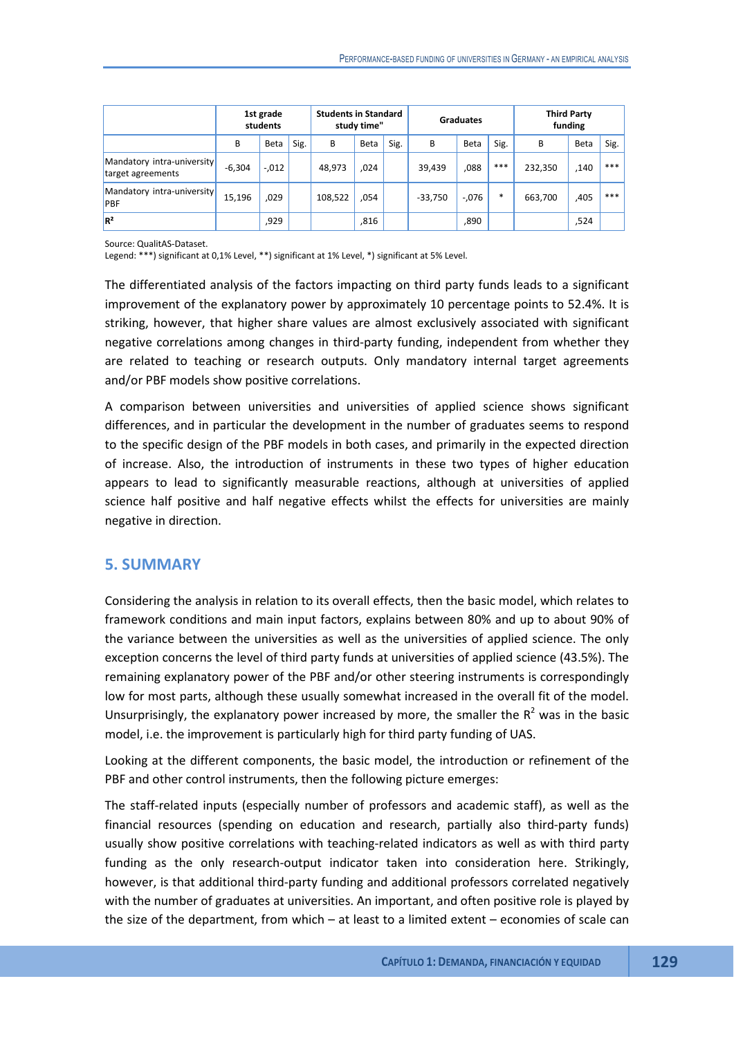|                                                 |          | 1st grade<br>students |      | <b>Students in Standard</b> | study time" |      |           | <b>Graduates</b> |      |         | <b>Third Party</b><br>funding |       |
|-------------------------------------------------|----------|-----------------------|------|-----------------------------|-------------|------|-----------|------------------|------|---------|-------------------------------|-------|
|                                                 | В        | Beta                  | Sig. | B                           | Beta        | Sig. | В         | Beta             | Sig. | B       | Beta                          | Sig.  |
| Mandatory intra-university<br>target agreements | $-6,304$ | $-0.012$              |      | 48,973                      | ,024        |      | 39,439    | ,088             | ***  | 232,350 | ,140                          | ***   |
| Mandatory intra-university<br><b>PBF</b>        | 15,196   | .029                  |      | 108,522                     | .054        |      | $-33,750$ | $-.076$          | *    | 663,700 | ,405                          | $***$ |
| $R^2$                                           |          | ,929                  |      |                             | ,816        |      |           | ,890             |      |         | ,524                          |       |

Source: QualitAS-Dataset.

Legend: \*\*\*) significant at 0,1% Level, \*\*) significant at 1% Level, \*) significant at 5% Level.

The differentiated analysis of the factors impacting on third party funds leads to a significant improvement of the explanatory power by approximately 10 percentage points to 52.4%. It is striking, however, that higher share values are almost exclusively associated with significant negative correlations among changes in third-party funding, independent from whether they are related to teaching or research outputs. Only mandatory internal target agreements and/or PBF models show positive correlations.

A comparison between universities and universities of applied science shows significant differences, and in particular the development in the number of graduates seems to respond to the specific design of the PBF models in both cases, and primarily in the expected direction of increase. Also, the introduction of instruments in these two types of higher education appears to lead to significantly measurable reactions, although at universities of applied science half positive and half negative effects whilst the effects for universities are mainly negative in direction.

## **5. SUMMARY**

Considering the analysis in relation to its overall effects, then the basic model, which relates to framework conditions and main input factors, explains between 80% and up to about 90% of the variance between the universities as well as the universities of applied science. The only exception concerns the level of third party funds at universities of applied science (43.5%). The remaining explanatory power of the PBF and/or other steering instruments is correspondingly low for most parts, although these usually somewhat increased in the overall fit of the model. Unsurprisingly, the explanatory power increased by more, the smaller the  $R^2$  was in the basic model, i.e. the improvement is particularly high for third party funding of UAS.

Looking at the different components, the basic model, the introduction or refinement of the PBF and other control instruments, then the following picture emerges:

The staff-related inputs (especially number of professors and academic staff), as well as the financial resources (spending on education and research, partially also third-party funds) usually show positive correlations with teaching-related indicators as well as with third party funding as the only research-output indicator taken into consideration here. Strikingly, however, is that additional third-party funding and additional professors correlated negatively with the number of graduates at universities. An important, and often positive role is played by the size of the department, from which – at least to a limited extent – economies of scale can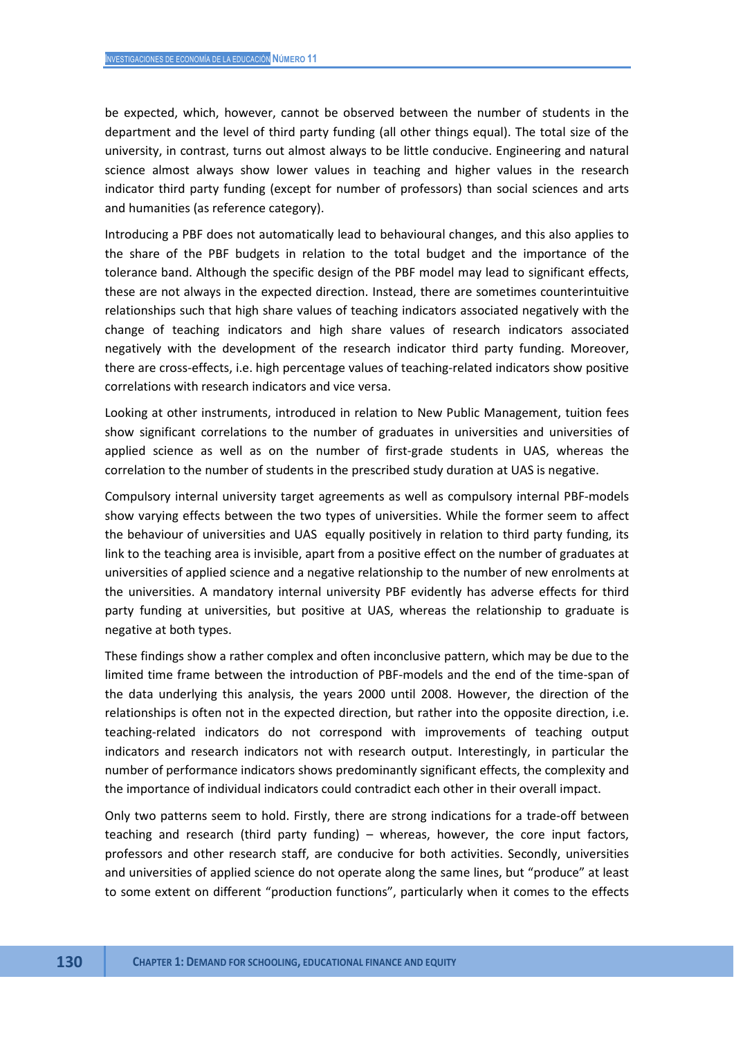be expected, which, however, cannot be observed between the number of students in the department and the level of third party funding (all other things equal). The total size of the university, in contrast, turns out almost always to be little conducive. Engineering and natural science almost always show lower values in teaching and higher values in the research indicator third party funding (except for number of professors) than social sciences and arts and humanities (as reference category).

Introducing a PBF does not automatically lead to behavioural changes, and this also applies to the share of the PBF budgets in relation to the total budget and the importance of the tolerance band. Although the specific design of the PBF model may lead to significant effects, these are not always in the expected direction. Instead, there are sometimes counterintuitive relationships such that high share values of teaching indicators associated negatively with the change of teaching indicators and high share values of research indicators associated negatively with the development of the research indicator third party funding. Moreover, there are cross-effects, i.e. high percentage values of teaching-related indicators show positive correlations with research indicators and vice versa.

Looking at other instruments, introduced in relation to New Public Management, tuition fees show significant correlations to the number of graduates in universities and universities of applied science as well as on the number of first-grade students in UAS, whereas the correlation to the number of students in the prescribed study duration at UAS is negative.

Compulsory internal university target agreements as well as compulsory internal PBF-models show varying effects between the two types of universities. While the former seem to affect the behaviour of universities and UAS equally positively in relation to third party funding, its link to the teaching area is invisible, apart from a positive effect on the number of graduates at universities of applied science and a negative relationship to the number of new enrolments at the universities. A mandatory internal university PBF evidently has adverse effects for third party funding at universities, but positive at UAS, whereas the relationship to graduate is negative at both types.

These findings show a rather complex and often inconclusive pattern, which may be due to the limited time frame between the introduction of PBF-models and the end of the time-span of the data underlying this analysis, the years 2000 until 2008. However, the direction of the relationships is often not in the expected direction, but rather into the opposite direction, i.e. teaching-related indicators do not correspond with improvements of teaching output indicators and research indicators not with research output. Interestingly, in particular the number of performance indicators shows predominantly significant effects, the complexity and the importance of individual indicators could contradict each other in their overall impact.

Only two patterns seem to hold. Firstly, there are strong indications for a trade-off between teaching and research (third party funding) – whereas, however, the core input factors, professors and other research staff, are conducive for both activities. Secondly, universities and universities of applied science do not operate along the same lines, but "produce" at least to some extent on different "production functions", particularly when it comes to the effects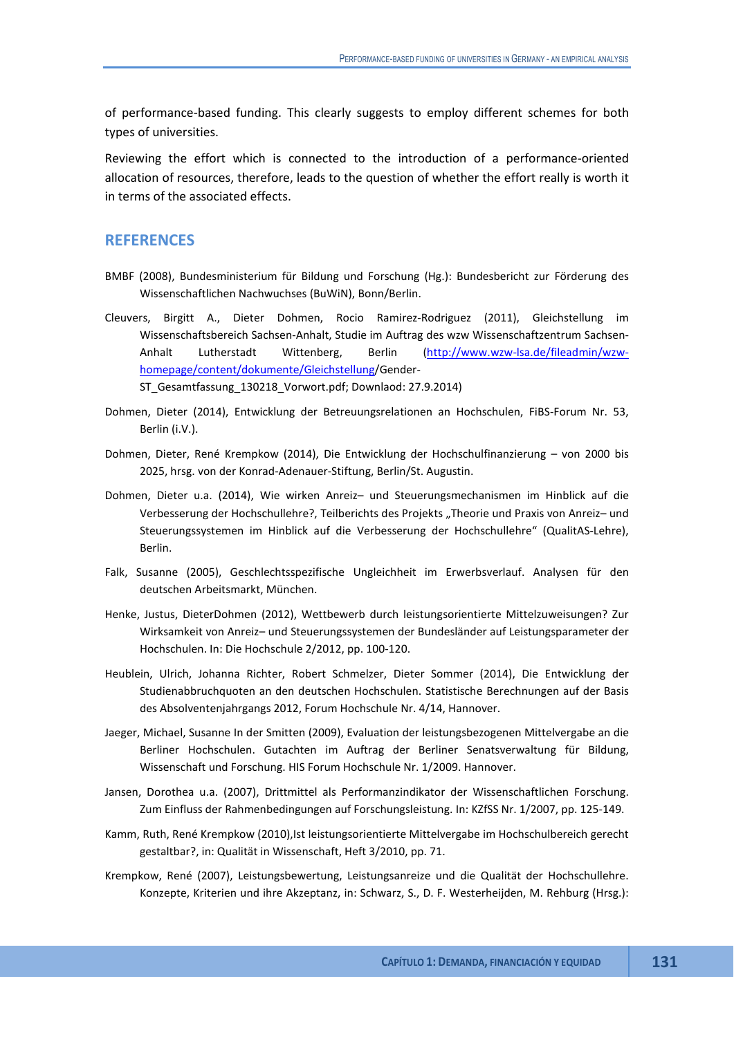of performance-based funding. This clearly suggests to employ different schemes for both types of universities.

Reviewing the effort which is connected to the introduction of a performance-oriented allocation of resources, therefore, leads to the question of whether the effort really is worth it in terms of the associated effects.

# **REFERENCES**

- BMBF (2008), Bundesministerium für Bildung und Forschung (Hg.): Bundesbericht zur Förderung des Wissenschaftlichen Nachwuchses (BuWiN), Bonn/Berlin.
- Cleuvers, Birgitt A., Dieter Dohmen, Rocio Ramirez-Rodriguez (2011), Gleichstellung im Wissenschaftsbereich Sachsen-Anhalt, Studie im Auftrag des wzw Wissenschaftzentrum Sachsen-Anhalt Lutherstadt Wittenberg, Berlin (http://www.wzw-lsa.de/fileadmin/wzwhomepage/content/dokumente/Gleichstellung/Gender-ST\_Gesamtfassung\_130218\_Vorwort.pdf; Downlaod: 27.9.2014)
- Dohmen, Dieter (2014), Entwicklung der Betreuungsrelationen an Hochschulen, FiBS-Forum Nr. 53, Berlin (i.V.).
- Dohmen, Dieter, René Krempkow (2014), Die Entwicklung der Hochschulfinanzierung von 2000 bis 2025, hrsg. von der Konrad-Adenauer-Stiftung, Berlin/St. Augustin.
- Dohmen, Dieter u.a. (2014), Wie wirken Anreiz– und Steuerungsmechanismen im Hinblick auf die Verbesserung der Hochschullehre?, Teilberichts des Projekts "Theorie und Praxis von Anreiz- und Steuerungssystemen im Hinblick auf die Verbesserung der Hochschullehre" (QualitAS-Lehre), Berlin.
- Falk, Susanne (2005), Geschlechtsspezifische Ungleichheit im Erwerbsverlauf. Analysen für den deutschen Arbeitsmarkt, München.
- Henke, Justus, DieterDohmen (2012), Wettbewerb durch leistungsorientierte Mittelzuweisungen? Zur Wirksamkeit von Anreiz– und Steuerungssystemen der Bundesländer auf Leistungsparameter der Hochschulen. In: Die Hochschule 2/2012, pp. 100-120.
- Heublein, Ulrich, Johanna Richter, Robert Schmelzer, Dieter Sommer (2014), Die Entwicklung der Studienabbruchquoten an den deutschen Hochschulen. Statistische Berechnungen auf der Basis des Absolventenjahrgangs 2012, Forum Hochschule Nr. 4/14, Hannover.
- Jaeger, Michael, Susanne In der Smitten (2009), Evaluation der leistungsbezogenen Mittelvergabe an die Berliner Hochschulen. Gutachten im Auftrag der Berliner Senatsverwaltung für Bildung, Wissenschaft und Forschung. HIS Forum Hochschule Nr. 1/2009. Hannover.
- Jansen, Dorothea u.a. (2007), Drittmittel als Performanzindikator der Wissenschaftlichen Forschung. Zum Einfluss der Rahmenbedingungen auf Forschungsleistung. In: KZfSS Nr. 1/2007, pp. 125-149.
- Kamm, Ruth, René Krempkow (2010),Ist leistungsorientierte Mittelvergabe im Hochschulbereich gerecht gestaltbar?, in: Qualität in Wissenschaft, Heft 3/2010, pp. 71.
- Krempkow, René (2007), Leistungsbewertung, Leistungsanreize und die Qualität der Hochschullehre. Konzepte, Kriterien und ihre Akzeptanz, in: Schwarz, S., D. F. Westerheijden, M. Rehburg (Hrsg.):